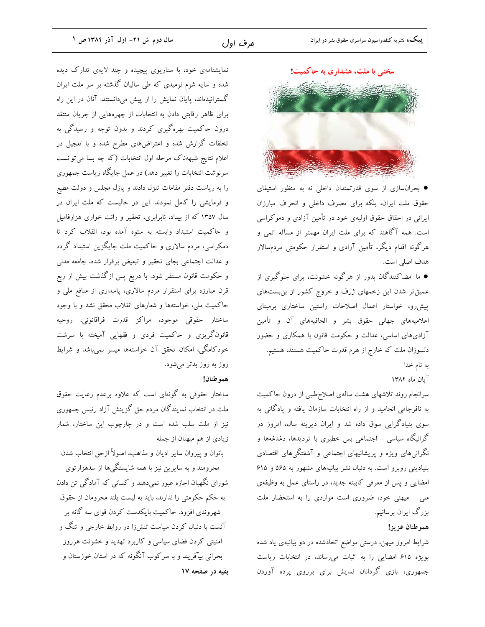نمایشنامهی خود، با سناریوی پیچیده و چند لایهی تدارک دیده .<br>شده و سایه شوم نومیدی که طی سالیان گذشته بر سر ملت ایران گسترانیدهاند، پایان نمایش را از پیش میدانستند. آنان در این راه برای ظاهر رقابتی دادن به انتخابات از چهرههایی از جریان منتقد درون حاکمیت بهرهگیری کردند و بدون توجه و رسیدگی به تخلفات گزارش شده و اعتراضهای مطرح شده و با تعجیل در اعلام نتایج شبههناک مرحله اول انتخابات (که چه بسا میتوانست سرنوشت انتخابات را تغییر دهد) در عمل جایگاه ریاست جمهوری را به ریاست دفتر مقامات تنزل دادند و پازل مجلس و دولت مطیع و فرمایشی را کامل نمودند. این در حالیست که ملت ایران در سال ۱۳۵۷ که از بیداد، نابرابری، تحقیر و رانت خواری هزارفامیل و حاکمیت استبداد وابسته به ستوه آمده بود، انقلاب کرد تا دمکراسی، مردم سالاری و حاکمیت ملت جایگزین استبداد گردد و عدالت اجتماعی بجای تحقیر و تبعیض برقرار شده، جامعه مدنی و حکومت قانون مستقر شود. با دریغ پس ازگذشت بیش از ربع قرن مبارزه برای استقرار مردم سالاری، پاسداری از منافع ملی و حاکمیت ملی، خواستهها و شعارهای انقلاب محقق نشد و با وجود ساختار حقوقی موجود، مراکز قدرت فراقانونی، روحیه قانونگریزی و حاکمیت فردی و فقهایی آمیخته با سرشت خودکامگی، امکان تحقق آن خواستهها میسر نمیباشد و شرایط روز به روز بدتر میشود.

## هموطنان!

ساختار حقوقی به گونهای است که علاوه برعدم رعایت حقوق ملت در انتخاب نمایندگان مردم حق گزینش آزاد رئیس جمهوری نیز از ملت سلب شده است و در چارچوب این ساختار، شمار زیادی از هم میهنان از جمله

بانوان و پیروان سایر ادیان و مذاهب، اصولاً ازحق انتخاب شدن

محرومند و به سایرین نیز با همه شایستگیها از سدهزارتوی شورای نگهبان اجازه عبور نمیدهند و کسانی که آمادگی تن دادن به حکم حکومتی را ندارند، باید به لیست بلند محرومان از حقوق شهروندی افزود. حاکمیت بایکدست کردن قوای سه گانه بر آنست با دنبال کردن سیاست تنشiا در روابط خارجی و تنگ و امنیتی کردن فضای سیاسی و کاربرد تهدید و خشونت هرروز بحرانی بیآفریند و با سرکوب آنگونه که در استان خوزستان و بقیه در صفحه ۱۷

سخنی با ملت، هشداری به حاکمیت!



• بحرانسازی از سوی قدرتمندان داخلی نه به منظور استیفای حقوق ملت ایران، بلکه برای مصرف داخلی و انحراف مبارزان ایرانی در احقاق حقوق اولیهی خود در تأمین آزادی و دموکراسی است. همه آگاهند که برای ملت ایران مهمتر از مسأله اتمی و هرگونه اقدام دیگر، تأمین آزادی و استقرار حکومتی مردمسالار هدف اصلي است.

● ما امضاکنندگان بدور از هرگونه خشونت، برای جلوگیری از عمیقتر شدن این زخمهای ژرف و خروج کشور از بن بستهای پیش رو، خواستار اعمال اصلاحات راستین ساختاری برمبنای اعلامیههای جهانی حقوق بشر و الحاقیههای آن و تأمین آزادیهای اساسی، عدالت و حکومت قانون با همکاری و حضور دلسوزان ملت که خارج از هرم قدرت حاکمیت هستند، هستیم. به نام خدا

آبان ماه ۱۳۸۴

سرانجام روند تلاشهای هشت سالهی اصلاح طلبی از درون حاکمیت به نافرجامی انجامید و از راه انتخابات سازمان یافته و پادگانی به سوی بنیادگرایی سوق داده شد و ایران دیرینه سال، امروز در گرانیگاه سیاسی – اجتماعی بس خطیری با تردیدها، دغدغهها و نگرانیهای ویژه و پریشانیهای اجتماعی و آشفتگیهای اقتصادی بنیادینی روبرو است. به دنبال نشر بیانیههای مشهور به ۵۶۵ و ۶۱۵ امضایی و پس از معرفی کابینه جدید، در راستای عمل به وظیفهی ملي - ميهنې خود، ضرورې است مواردې را به استحضار ملت بزرگ ایران برسانیم.

## هموطنان عزيز!

شرایط امروز میهن، درستی مواضع اتخاذشده در دو بیانبهی یاد شده بویژه ۶۱۵ امضایی را به اثبات میرساند، در انتخابات ریاست جمهوری، بازی گردانان نمایش برای برروی پرده آوردن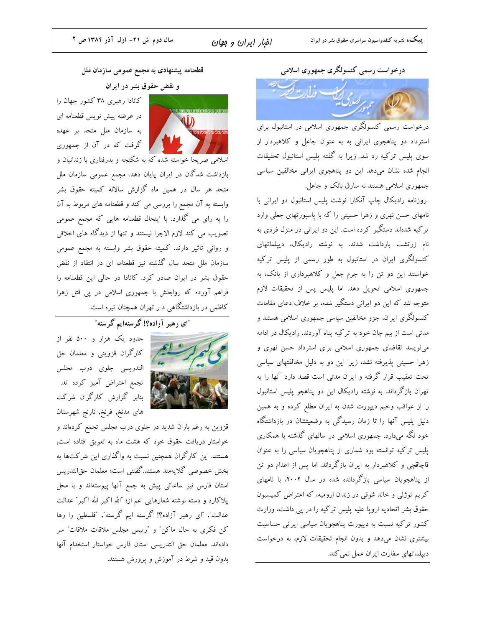قطعنامه پیشنهادی به مجمع عمومی سازمان ملل

و نقض حقوق بشر در ایران

کانادا رهبری ۳۸ کشور جهان را در عرضه پیش نویس قطعنامه ای به سازمان ملل متحد بر عهده | گرفت که در آن از جمهوری



اسلامی صریحا خواسته شده که به شکنجه و بدرفتاری با زندانیان و بازداشت شدگان در ایران پایان دهد. مجمع عمومی سازمان ملل متحد هر سال در همین ماه گزارش سالانه کمیته حقوق بشر وابسته به آن مجمع را بررسی می کند و قطعنامه های مربوط به آن را به رای می گذارد. با اینحال قطعنامه هایی که مجمع عمومی تصویب می کند لازم الاجرا نیستند و تنها از دیدگاه های اخلاقی و روانی تاثیر دارند. کمیته حقوق بشر وابسته به مجمع عمومی سازمان ملل متحد سال گذشته نیز قطعنامه ای در انتقاد از نقض حقوق بشر در ایران صادر کرد. کانادا در حالی این قطعنامه را فراهم آورده که روابطش با جمهوری اسلامی در یی قتل زهرا کاظمی در بازداشتگاهی د ر تهران همچنان تیره است.

۔<br>آای رهبر آزا**ده؟! گرسنه**ایم گرسنه ّ



حدود یک هزار و ۵۰۰ نفر از کارگران قزوینی و معلمان حق التدريسي جلوى درب مجلس تجمع اعتراض آمیز کرده اند. بنابر گزارش کارگران شرکت های مدنخ, فرنخ, نارنج شهرستان

قزوین به رغم باران شدید در جلوی درب مجلس تجمع کردهاند و خواستار دریافت حقوق خود که هشت ماه به تعویق افتاده است, هستند. این کارگران همچنین نسبت به واگذاری این شرکتها به بخش خصوصي گلايهمند هستند.گفتنبي است؛ معلمان حق|لتدريس استان فارس نیز ساعاتی پیش به جمع آنها پیوستهاند و با محل پلاکارد و دسته نوشته شعارهایی اعم از؛ "الله اکبر الله اکبر" عدالت عدالت", "ای رهبر آزاده؟! گرسنه ایم گرسنه", "فلسطین را رها کن فکری به حال ماکن" و "رییس مجلس ملاقات ملاقات" سر دادهاند. معلمان حق التدريسي استان فارس خواستار استخدام آنها بدون قید و شرط در آموزش و پرورش هستند. درخواست رسمي كنسولگري جمهوري اسلامي

.<br>درخواست رسمی کنسولگری جمهوری اسلامی در استانبول برای استرداد دو پناهجوی ایرانی به به عنوان جاعل و کلاهبردار از سوی پلیس ترکیه رد شد. زیرا به گفته پلیس استانبول تحقیقات انجام شده نشان میدهد این دو پناهجوی ایرانی مخالفین سیاسی جمهوری اسلامی هستند نه سارق بانک و جاعل.

روزنامه رادیکال چاپ آنکارا نوشت پلیس استانبول دو ایرانی با نامهای حسن نهری و زهرا حسینی را که با پاسپورتهای جعلی وارد ترکیه شدهاند دستگیر کرده است. این دو ایرانی در منزل فردی به نام زرتشت بازداشت شدند. به نوشته رادیکال، دیپلماتهای کنسولگری ایران در استانبول به طور رسمی از پلیس ترکیه خواستند این دو تن را به جرم جعل و کلاهبرداری از بانک، به جمهوری اسلامی تحویل دهد. اما پلیس پس از تحقیقات لازم متوجه شد که این دو ایرانی دستگیر شده، بر خلاف دعای مقامات کنسولگری ایران، جزو مخالفین سیاسی جمهوری اسلامی هستند و مدتی است از بیم جان خود به ترکیه پناه آوردند. رادیکال در ادامه مینویسد تقاضای جمهوری اسلامی برای استرداد حسن نهری و زهرا حسینی پذیرفته نشد، زیرا این دو به دلیل مخالفتهای سیاسی تحت تعقیب قرار گرفته و ایران مدتی است قصد دارد آنها را به تهران بازگرداند. به نوشته رادیکال این دو پناهجو پلیس استانبول را از عواقب وخیم دیپورت شدن به ایران مطلع کرده و به همین دلیل پلیس آنها را تا زمان رسیدگی به وضعیتشان در بازداشتگاه خود نگه میدارد. جمهوری اسلامی در سالهای گذشته با همکاری پلیس ترکیه توانسته بود شماری از پناهجویان سیاسی را به عنوان قاچاقچی و کلاهبردار به ایران بازگرداند. اما پس از اعدام دو تن از پناهجویان سیاسی بازگردانده شده در سال ۲۰۰۲، با نامهای کریم توژلی و خالد شوقی در زندان ارومیه، که اعتراض کمیسیون حقوق بشر اتحادیه اروپا علیه پلیس ترکیه را در پی داشت، وزارت کشور ترکیه نسبت به دیپورت پناهجویان سیاسی ایرانی حساسیت بیشتری نشان میدهد و بدون انجام تحقیقات لازم، به درخواست دییلماتهای سفارت ایران عمل نمی کند.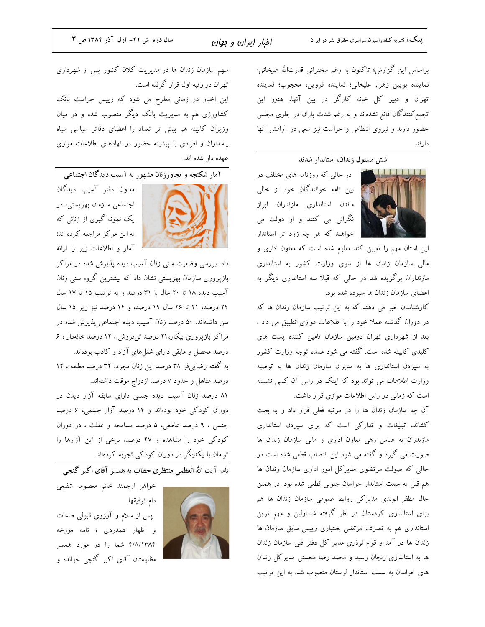پییک، نشریه کنفدراسیون سراسری حقوق بشر در ایران

امْبار ایران و مِهان

براساس این گزارش؛ تاکنون به رغم سخنرانی قدرتالله علیخانی؛ نماينده بويين زهرا, عليخاني؛ نماينده قزوين، محجوب؛ نماينده تهران و دبیر کل خانه کارگر در بین آنها، هنوز این تجمع کنندگان قانع نشدهاند و به رغم شدت باران در جلوی مجلس حضور دارند و نیروی انتظامی و حراست نیز سعی در آرامش آنها دار ند.

## شش مسئول زندان، استاندار شدند



در حالی که روزنامه های مختلف در بین نامه خوانندگان خود از خالی ماندن استانداری مازندران ابراز نگرانی می کنند و از دولت می خواهند که هر چه زود تر استاندار

این استان مهم را تعیین کند معلوم شده است که معاون اداری و مالی سازمان زندان ها از سوی وزارت کشور به استانداری مازنداران برگزیده شد در حالی که قبلا سه استانداری دیگر به اعضای سازمان زندان ها سیرده شده بود.

کارشناسان خبر می دهند که به این ترتیب سازمان زندان ها که در دوران گذشته عملا خود را با اطلاعات موازی تطبیق می داد ، بعد از شهرداری تهران دومین سازمان تامین کننده پست های کلیدی کابینه شده است. گفته می شود عمده توجه وزارت کشور به سیردن استانداری ها به مدیران سازمان زندان ها به توصیه وزارت اطلاعات می تواند بود که اینک در راس آن کسی نشسته است که زمانی در راس اطلاعات موازی قرار داشت.

آن چه سازمان زندان ها را در مرتبه فعلی قرار داد و به بحث کشاند، تبلیغات و تدارکی است که برای سپردن استانداری مازندران به عباس رهی معاون اداری و مالی سازمان زندان ها صورت می گیرد و گفته می شود این انتصاب قطعی شده است در حالی که صولت مرتضوی مدیرکل امور اداری سازمان زندان ها هم قبل به سمت استاندار خراسان جنوبی قطعی شده بود. در همین حال مظفر الوندى مديركل روابط عمومى سازمان زندان ها هم برای استانداری کردستان در نظر گرفته شد.اولین و مهم ترین استانداری هم به تصرف مرتضی بختیاری رییس سابق سازمان ها زندان ها در آمد و قوام نوذری مدیر کل دفتر فنی سازمان زندان ها به استانداری زنجان رسید و محمد رضا محسنی مدیر کل زندان های خراسان به سمت استاندار لرستان منصوب شد. به این ترتیب

سهم سازمان زندان ها در مدیریت کلان کشور پس از شهرداری تهران در رتبه اول قرار گرفته است. این اخبار در زمانی مطرح می شود که رییس حراست بانک کشاورزی هم به مدیریت بانک دیگر منصوب شده و در میان وزیران کابینه هم بیش تر تعداد را اعضای دفاتر سیاسی سپاه پاسداران و افرادی با پیشینه حضور در نهادهای اطلاعات موازی عهده دار شده اند.

آمار شکنجه و تجاوززنان مشهور به آسیب دیدگان اجتماعی



معاون دفتر آسيب ديدگان اجتماعی سازمان بهزیستی، در یک نمونه گیری از زنانی که به این مرکز مراجعه کرده اند؛ آمار و اطلاعات زیر را ارائه

داد: بررسی وضعیت سنی زنان آسیب دیده پذیرش شده در مراکز بازپروری سازمان بهزیستی نشان داد که بیشترین گروه سنی زنان آسیب دیده ۱۸ تا ۲۰ سال با ۳۱ درصد و به ترتیب ۱۵ تا ۱۷ سال ٢۴ درصد، ٢١ تا ٢۶ سال ١٩ درصد، و ١٤ درصد نيز زير ١٥ سال سن داشتهاند. ۵۰ درصد زنان آسیب دیده اجتماعی پذیرش شده در مراکز بازپروری بیکار،۲۱ درصد تنفروش ، ۱۲ درصد خانهدار ، ۶ درصد محصل و مابقی دارای شغلهای آزاد و کاذب بودهاند. به گفته رضاییفر ۳۸ درصد این زنان مجرد، ۳۲ درصد مطلقه ، ۱۲ درصد متاهل و حدود ۷ درصد ازدواج موقت داشتهاند.

۸۱ درصد زنان آسیب دیده جنسی دارای سابقه آزار دیدن در دوران کودکی خود بودهاند و ۱۴ درصد آزار جسمی، ۶ درصد جنسی ، ۹ درصد عاطفی، ۵ درصد مسامحه و غفلت ، در دوران کودکی خود را مشاهده و ۴۷ درصد، برخی از این آزارها را توامان با یکدیگر در دوران کودکی تجربه کردهاند.

.<br>نامه آیت الله العظمی منتظری خطاب به همسر آقای اکبر گنجی



دام توفيقها پس از سلام و آرزوی قبولی طاعات و اظهار همدردی ؛ نامه مورخه ۴/٨/١٣٨۴ شما را در مورد همسر مظلومتان آقای اکبر گنجی خوانده و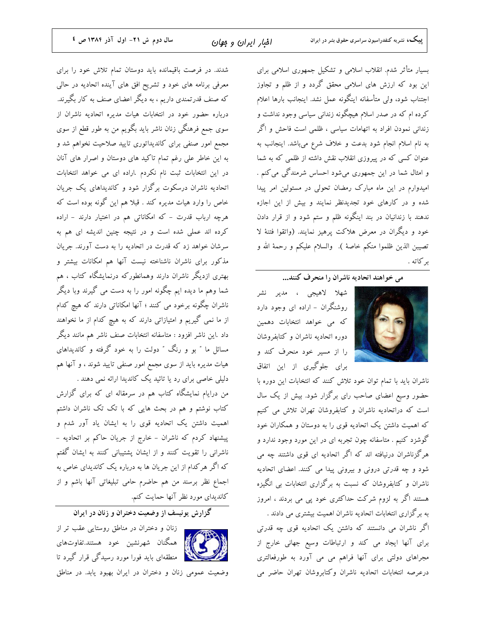بسیار متأثر شدم. انقلاب اسلامی و تشکیل جمهوری اسلامی برای این بود که ارزش های اسلامی محقق گردد و از ظلم و تجاوز اجتناب شود، ولی متأسفانه اینگونه عمل نشد. اینجانب بارها اعلام کرده ام که در صدر اسلام هیچگونه زندانی سیاسی وجود نداشت و زندانی نمودن افراد به اتهامات سیاسی ، ظلمی است فاحش و اگر به نام اسلام انجام شود بدعت و خلاف شرع میباشد. اینجانب به عنوان کسی که در پیروزی انقلاب نقش داشته از ظلمی که به شما و امثال شما در این جمهوری میشود احساس شرمندگی می کنم . امیدوارم در این ماه مبارک رمضان تحولی در مسئولین امر پیدا شده و در کارهای خود تجدیدنظر نمایند و بیش از این اجازه ندهند با زندانیان در بند اینگونه ظلم و ستم شود و از قرار دادن خود و دیگران در معرض هلاکت پرهیز نمایند. (واتقوا فتنهٔ لا تصيبن الذين ظلموا منكم خاصة ). والسلام عليكم و رحمة الله و بركاته .

<sub>می</sub> خواهند اتحادیه ناشران را منحرف کنند...



شھلا لاهيجي ، مدير نشر روشنگران – اراده ای وجود دارد که می خواهد انتخابات دهمین دوره اتحادیه ناشران و کتابفروشان را از مسیر خود منحرف کند و برای جلوگیری از این اتفاق

ناشران باید با تمام توان خود تلاش کنند که انتخابات این دوره با حضور وسیع اعضای صاحب رای برگزار شود. بیش از یک سال است که دراتحادیه ناشران و کتابفروشان تهران تلاش می کنیم که اهمیت داشتن یک اتحادیه قوی را به دوستان و همکاران خود گوشزد کنیم . متاسفانه چون تجربه ای در این مورد وجود ندارد و هرگزناشران درنیافته اند که اگر اتحادیه ای قوی داشتند چه می شود و چه قدرتی درونی و بیرونی پیدا می کنند. اعضای اتحادیه ناشران و کتابفروشان که نسبت به برگزاری انتخابات بی انگیزه هستند اگر به لزوم شرکت حداکثری خود پی می بردند ، امروز به برگزاری انتخابات اتحادیه ناشران اهمیت بیشتری می دادند .

اگر ناشران می دانستند که داشتن یک اتحادیه قوی چه قدرتی برای آنها ایجاد می کند و ارتباطات وسیع جهانی خارج از مجراهای دولتی برای آنها فراهم می می آورد به طورفعالتری درعرصه انتخابات اتحاديه ناشران وكتابروشان تهران حاضر مى

شدند. در فرصت باقیمانده باید دوستان تمام تلاش خود را برای معرفی برنامه های خود و تشریح افق های آینده اتحادیه در حالی که صنف قدرتمندی داریم ، به دیگر اعضای صنف به کار بگیرند. درباره حضور خود در انتخابات هیات مدیره اتحادیه ناشران از سوی جمع فرهنگی زنان ناشر باید بگویم من به طور قطع از سوی مجمع امور صنفی برای کاندیداتوری تایید صلاحیت نخواهم شد و به این خاطر علی رغم تمام تاکید های دوستان و اصرار های آنان در این انتخابات ثبت نام نکردم .اراده ای می خواهد انتخابات اتحادیه ناشران درسکوت برگزار شود و کاندیداهای یک جریان خاص را وارد هیات مدیره کند . قبلا هم این گونه بوده است که هرچه ارباب قدرت – که امکاناتی هم در اختیار دارند – اراده کرده اند عملی شده است و در نتیجه چنین اندیشه ای هم به سرشان خواهد زد که قدرت در اتحادیه را به دست آورند. جریان مذکور برای ناشران ناشناخته نیست آنها هم امکانات بیشتر و بهتری ازدیگر ناشران دارند وهمانطورکه درنمایشگاه کتاب ، هم شما وهم ما دیده ایم چگونه امور را به دست می گیرند وبا دیگر ناشران چگونه برخود می کنند ؛ آنها امکاناتی دارند که هیچ کدام از ما نمی گیریم و امتیازاتی دارند که به هیچ کدام از ما نخواهند داد .این ناشر افزود : متاسفانه انتخابات صنف ناشر هم مانند دیگر مسائل ما ″ بو و رنگ ″ دولت را به خود گرفته و کاندیداهای هیات مدیره باید از سوی مجمع امور صنفی تایید شوند ، و آنها هم دلیلی خاصی برای رد یا تائید یک کاندیدا ارائه نمی دهند .

من درایام نمایشگاه کتاب هم در سرمقاله ای که برای گزارش کتاب نوشتم و هم در بحث هایی که با تک تک ناشران داشتم اهمیت داشتن یک اتحادیه قوی را به ایشان یاد آور شدم و پیشنهاد کردم که ناشران – خارج از جریان حاکم بر اتحادیه – ناشرانی را تقویت کنند و از ایشان پشتیبانی کنند به ایشان گفتم که اگر هرکدام از این جریان ها به درباره یک کاندیدای خاص به اجماع نظر برسند من هم حاضرم حامی تبلیغاتی آنها باشم و از کاندیدای مورد نظر آنها حمایت کنم.

زنان و دختران در مناطق روستایی عقب تر از همگنان شهرنشین خود هستند.تفاوتهای ای استانههای باید فورا مورد رسیدگی قرار گیرد تا

وضعیت عمومی زنان و دختران در ایران بهبود یابد. در مناطق

گزارش یونیسف از وضعیت دختران و زنان در ایران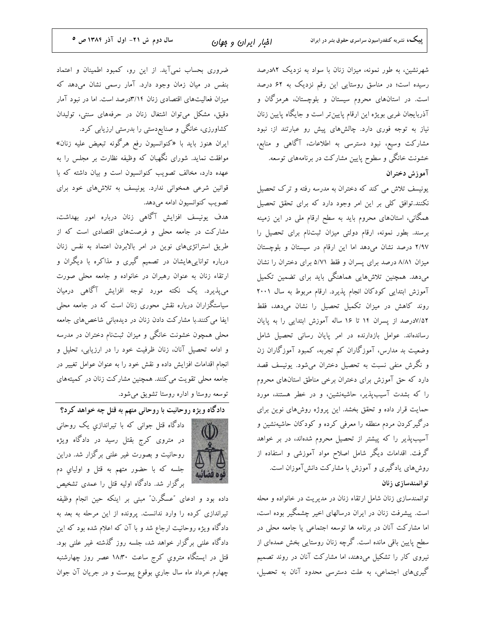شهرنشین، به طور نمونه، میزان زنان با سواد به نزدیک ۸۲درصد رسیده است؛ در مناسق روستایی این رقم نزدیک به ۶۲ درصد است. در استانهای محروم سیستان و بلوچستان، هرمزگان و آذربایجان غربی بویژه این ارقام پایینiتر است و جایگاه پایین زنان نیاز به توجه فوری دارد. چالشهای پیش رو عبارتند از: نبود مشارکت وسیع، نبود دسترسی به اطلاعات، آگاهی و منابع، خشونت خانگی و سطوح پایین مشارکت در برنامههای توسعه. آموزش دختران

یونیسف تلاش می کند که دختران به مدرسه رفته و ترک تحصیل نکنند.توافق کلی بر این امر وجود دارد که برای تحقق تحصیل همگانی، استانهای محروم باید به سطح ارقام ملی در این زمینه برسند. بطور نمونه، ارقام دولتی میزان ثبتنام برای تحصیل را ٢/٩٧ درصد نشان مىدهد اما اين ارقام در سيستان و بلوچستان میزان ۸/۸۱ درصد برای پسران و فقط ۵/۷۱ برای دختران را نشان میدهد. همچنین تلاشهایی هماهنگی باید برای تضمین تکمیل آموزش ابتدایی کودکان انجام پذیرد. ارقام مربوط به سال ۲۰۰۱ روند كاهش در ميزان تكميل تحصيل را نشان مىدهد، فقط ٧/١٨درصد از پسران ١۴ تا ١۶ ساله آموزش ابتدایی را به پایان رساندهاند. عوامل بازدارنده در امر پایان رسانی تحصیل شامل وضعیت بد مدارس، آموزگاران کم تجربه، کمبود آموزگاران زن و نگرش منفی نسبت به تحصیل دختران میشود. یونیسف قصد دارد که حق آموزش برای دختران برخی مناطق استانهای محروم را که بشدت آسیبپذیر، حاشیهنشین، و در خطر هستند، مورد حمایت قرار داده و تحقق بخشد. این پروژه روشهای نوین برای درگیرکردن مردم منطقه را معرفی کرده و کودکان حاشیهنشین و آسیبپذیر را که پیشتر از تحصیل محروم شدهاند، در بر خواهد گرفت. اقدامات دیگر شامل اصلاح مواد آموزشی و استفاده از روشهای یادگیری و آموزش با مشارکت دانشآموزان است. توانمندسازى زنان

توانمندسازی زنان شامل ارتقاء زنان در مدیریت در خانواده و محله است. پیشرفت زنان در ایران درسالهای اخیر چشمگیر بوده است، اما مشارکت آنان در برنامه ها توسعه اجتماعی یا جامعه محلی در سطح پایین باقی مانده است. گرچه زنان روستایی بخش عمدهای از نیروی کار را تشکیل میدهند، اما مشارکت آنان در روند تصمیم گیریهای اجتماعی، به علت دسترسی محدود آنان به تحصیل،

ضروری بحساب نمی آید. از این رو، کمبود اطمینان و اعتماد بنفس در میان زمان وجود دارد. آمار رسمی نشان میدهد که میزان فعالیتهای اقتصادی زنان ۳/۱۴درصد است. اما در نبود آمار دقیق، مشکل میتوان اشتغال زنان در حرفههای سنتی، تولیدان کشاورزی، خانگی و صنایعٖدستی را بدرستی ارزیابی کرد.

ایران هنوز باید با «کنوانسیون رفع هرگونه تبعیض علیه زنان» موافقت نماید. شورای نگهبان که وظیفه نظارت بر مجلس را به عهده دارد، مخالف تصویب کنوانسیون است و بیان داشته که با قوانین شرعی همخوانی ندارد. یونیسف به تلاشهای خود برای تصويب كنوانسيون ادامه مىدهد.

هدف یونیسف افزایش آگاهی زنان درباره امور بهداشت، مشارکت در جامعه محلی و فرصتهای اقتصادی است که از طریق استراتژیهای نوین در امر بالابردن اعتماد به نفس زنان درباره تواناییهایشان در تصمیم گیری و مذاکره با دیگران و ارتقاء زنان به عنوان رهبران در خانواده و جامعه محلی صورت می پذیرد. یک نکته مورد توجه افزایش آگاهی درمیان سیاستگزاران درباره نقش محوری زنان است که در جامعه محلی ایفا می کنند.با مشارکت دادن زنان در دیدهبانی شاخصهای جامعه محلی همچون خشونت خانگی و میزان ثبتنام دختران در مدرسه و ادامه تحصیل آنان، زنان ظرفیت خود را در ارزیابی، تحلیل و انجام اقدامات افزایش داده و نقش خود را به عنوان عوامل تغییر در جامعه محلی تقویت می کنند. همچنین مشارکت زنان در کمیتههای توسعه روستا و اداره روستا تشویق میشود.

دادگاه ویژه روحانیت با روحانی متهم به قتل چه خواهد کرد؟



دادگاه قتل جوانی که با تیراندازیِ یک روحانی در متروی کرج بقتل رسید در دادگاه ویژه روحانیت و بصورت غیر علنی برگزار شد. دراین جلسه که با حضور متهم به قتل و اولیاي دم برگزار شد. دادگاه اولیه قتل را عمدی تشخیص

داده بود و ادعای "عسگر.ن" مبنی بر اینکه حین انجام وظیفه تیراندازی کرده را وارد ندانست. پرونده از این مرحله به بعد به دادگاه ویژه روحانیت ارجاع شد و با آن که اعلام شده بود که این دادگاه علنی برگزار خواهد شد، جلسه روز گذشته غیر علنی بود. قتل در ایستگاه متروی کرج ساعت ۱۸:۳۰ عصر روز چهارشنبه چهارم خرداد ماه سال جاري بوقوع پيوست و در جريان آن جوان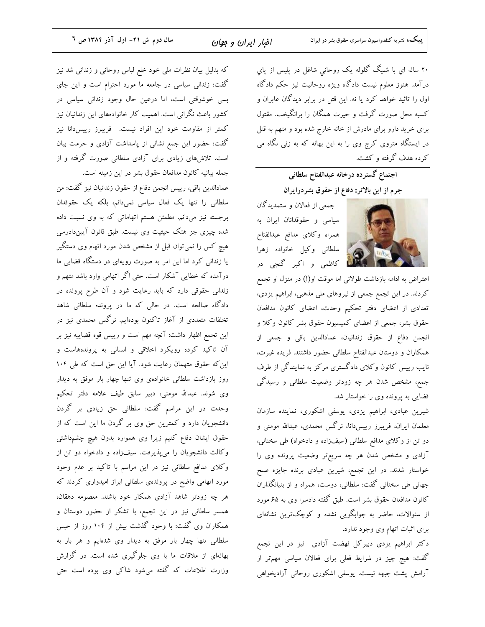۲۰ ساله اي با شليگ گلوله يک روحاني شاغل در پليس از پاي درآمد. هنوز معلوم نیست دادگاه ویژه روحانیت نیز حکم دادگاه اول را تائید خواهد کرد یا نه. این قتل در برابر دیدگان عابران و کسبه محل صورت گرفت و حیرت همگان را برانگیخت. مقتول برای خرید دارو برای مادرش از خانه خارج شده بود و متهم به قتل در ایستگاه متروی کرج وی را به این بهانه که به زنی نگاه می کرده هدف گرفته و کشت.

اجتماع گسترده درخانه عبدالفتاح سلطانی

جرم از این بالاتر: دفاع از حقوق بشردرایران

جمعی از فعالان و ستمدیدگان سیاسی و حقوقدانان ایران به همراه وكلاى مدافع عبدالفتاح سلطاني وكيل خانواده زهرا ای استان کاظمی و اکبر گنجی در

اعتراض به ادامه بازداشت طولانی اما موقت او(!) در منزل او تجمع کردند. در این تجمع جمعی از نیروهای ملی مذهبی، ابراهیم یزدی، تعدادی از اعضای دفتر تحکیم وحدت، اعضای کانون مدافعان حقوق بشر، جمعی از اعضای کمیسیون حقوق بشر کانون وکلا و انجمن دفاع از حقوق زندانیان، عمادالدین باقی و جمعی از همکاران و دوستان عبدالفتاح سلطانی حضور داشتند. فریده غیرت، نایب رییس کانون وکلای دادگستری مرکز به نمایندگی از طرف جمع، مشخص شدن هر چه زودتر وضعیت سلطانی و رسیدگی قضایی به پرونده وی را خواستار شد.

شیرین عبادی، ابراهیم یزدی، یوسفی اشکوری، نماینده سازمان معلمان ایران، فریبرز رییسدانا، نرگس محمدی، عبدالله مومنی و دو تن از وكلاي مدافع سلطاني (سيفزاده و دادخواه) طي سخناني، آزادی و مشخص شدن هر چه سریعتر وضعیت پرونده وی را خواستار شدند. در این تجمع، شیرین عبادی برنده جایزه صلح جهانی طی سخنانی گفت: سلطانی، دوست، همراه و از بنیانگذاران کانون مدافعان حقوق بشر است. طبق گفته دادسرا وی به ۶۵ مورد از سئوالات، حاضر به جوابگویی نشده و کوچکترین نشانهای برای اثبات اتهام وی وجود ندارد.

دکتر ابراهیم یزدی دبیرکل نهضت آزادی نیز در این تجمع گفت: هیچ چیز در شرایط فعلی برای فعالان سیاسی مهمتر از آرامش پشت جبهه نیست. یوسفی اشکوری روحانی آزادیخواهی

که بدلیل بیان نظرات ملی خود خلع لباس روحانی و زندانی شد نیز گفت: زندانی سیاسی در جامعه ما مورد احترام است و این جای بسی خوشوقتی است، اما درعین حال وجود زندانی سیاسی در کشور باعث نگرانی است. اهمیت کار خانوادههای این زندانیان نیز كمتر از مقاومت خود اين افراد نيست. فريبرز رييس،انا نيز گفت: حضور این جمع نشانی از پاسداشت آزادی و حرمت بیان است. تلاشهای زیادی برای آزادی سلطانی صورت گرفته و از جمله بیانیه کانون مدافعان حقوق بشر در این زمینه است.

عمادالدين باقي، رييس انجمن دفاع از حقوق زندانيان نيز گفت: من سلطانی را تنها یک فعال سیاسی نمیدانم، بلکه یک حقوقدان برجسته نیز میدانم. مطمئن هستم اتهاماتی که به وی نسبت داده شده چیزی جز هتک حیثیت وی نیست. طبق قانون آییندادرسی هیچ کس را نمیتوان قبل از مشخص شدن مورد اتهام وی دستگیر یا زندانی کرد اما این امر به صورت رویهای در دستگاه قضایی ما درآمده که خطایی آشکار است. حتی اگر اتهامی وارد باشد متهم و زندانی حقوقی دارد که باید رعایت شود و آن طرح پرونده در دادگاه صالحه است. در حالی که ما در پرونده سلطانی شاهد تخلفات متعددی از آغاز تاکنون بودهایم. نرگس محمدی نیز در این تجمع اظهار داشت: آنچه مهم است و رییس قوه قضاییه نیز بر آن تاکید کرده رویکرد اخلاقی و انسانی به پروندههاست و این که حقوق متهمان رعایت شود. آیا این حق است که طی ۱۰۴ روز بازداشت سلطانی خانوادهی وی تنها چهار بار موفق به دیدار وی شوند. عبدالله مومنی، دبیر سابق طیف علامه دفتر تحکیم وحدت در این مراسم گفت: سلطانی حق زیادی بر گردن دانشجویان دارد و کمترین حق وی بر گردن ما این است که از حقوق ایشان دفاع کنیم زیرا وی همواره بدون هیچ چشمداشتی وکالت دانشجویان را میپذیرفت. سیفزاده و دادخواه دو تن از وكلاي مدافع سلطاني نيز در اين مراسم با تاكيد بر عدم وجود مورد اتهامی واضح در پروندهی سلطانی ابراز امیدواری کردند که هر چه زودتر شاهد آزادی همکار خود باشند. معصومه دهقان، همسر سلطانی نیز در این تجمع، با تشکر از حضور دوستان و همکاران وی گفت: با وجود گذشت بیش از ۱۰۴ روز از حبس سلطانی تنها چهار بار موفق به دیدار وی شدهایم و هر بار به بهانهای از ملاقات ما با وی جلوگیری شده است. در گزارش وزارت اطلاعات که گفته میشود شاکی وی بوده است حتی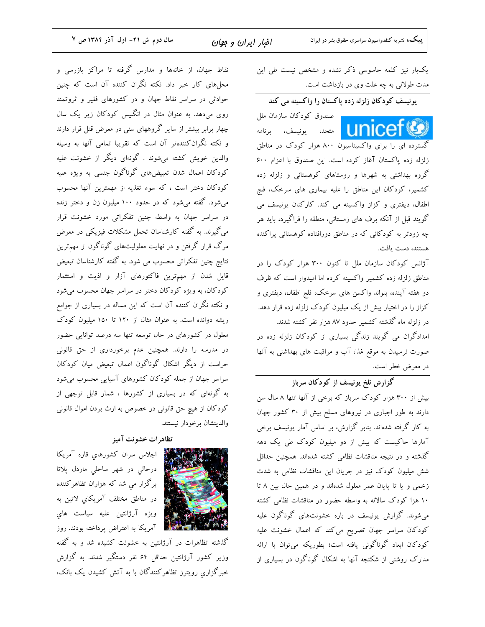**پییک،** نشریه کنفدراسیون سراسری حقوق بشر در ایران

نقاط جهان، از خانهها و مدارس گرفته تا مراکز بازرسی و محلهای کار خبر داد. نکته نگران کننده آن است که چنین حوادثی در سراسر نقاط جهان و در کشورهای فقیر و ثروتمند روی میدهد. به عنوان مثال در انگلیس کودکان زیر یک سال چهار برابر بیشتر از سایر گروههای سنی در معرض قتل قرار دارند و نکته نگران کنندهتر آن است که تقریبا تمامی آنها به وسیله والدین خویش کشته میشوند . گونهای دیگر از خشونت علیه کودکان اعمال شدن تعبیضهای گوناگون جنسی به ویژه علیه کودکان دختر است ، که سوء تغذیه از مهمترین آنها محسوب میشود. گفته میشود که در حدود ۱۰۰ میلیون زن و دختر زنده در سراسر جهان به واسطه چنین تفکراتی مورد خشونت قرار می گیرند. به گفته کارشناسان تحمل مشکلات فیزیکی در معرض مرگ قرار گرفتن و در نهایت معلولیتهای گوناگون از مهمترین نتایج چنین تفکراتی محسوب می شود. به گفته کارشناسان تبعیض قایل شدن از مهمترین فاکتورهای آزار و اذیت و استثمار کودکان، به ویژه کودکان دختر در سراسر جهان محسوب میشود و نکته نگران کننده آن است که این مساله در بسیاری از جوامع ریشه دوانده است. به عنوان مثال از ۱۲۰ تا ۱۵۰ میلیون کودک معلول در کشورهای در حال توسعه تنها سه درصد توانایی حضور در مدرسه را دارند. همچنین عدم برخورداری از حق قانونی حراست از دیگر اشکال گوناگون اعمال تبعیض میان کودکان سراسر جهان از جمله کودکان کشورهای آسیایی محسوب میشود به گونهای که در بسیاری از کشورها ، شمار قابل توجهی از كودكان از هيچ حق قانوني در خصوص به ارث بردن اموال قانوني والدينشان برخودار نيستند.

### تظاهرات خشونت آميز



اجلاس سران كشورهاي قاره آمريكا درحالی در شهر ساحلی ماردل پلاتا برگزار مي شد که هزاران تظاهرکننده در مناطق مختلف آمريكاي لاتين به ویژه آرژانتین علیه سیاست های ای استان که استان به اعتراض پرداخته بودند. روز

گذشته تظاهرات در آرژانتین به خشونت کشیده شد و به گفته وزیر کشور آرژانتین حداقل ۶۴ نفر دستگیر شدند. به گزارش خبرگزاری رویترز تظاهرکنندگان با به آتش کشیدن یک بانک، یکبار نیز کلمه جاسوسی ذکر نشده و مشخص نیست طی این مدت طولانی به چه علت وی در بازداشت است.

یونیسف کودکان زلزله زده پاکستان را واکسینه می کند

صندوق كودكان سازمان ملل **I I AICC** متحد، یونیسف، برنامه

گسترده ای را برای واکسیناسیو<sup>ن</sup> ۸۰۰ هزار کودک در مناطق زلزله زده پاکستان آغاز کرده است. این صندوق با اعزام ۶۰۰ گروه بهداشتی به شهرها و روستاهای کوهستانی و زلزله زده کشمیر، کودکان این مناطق را علیه بیماری های سرخک، فلج اطفال، دیفتری و کزاز واکسینه می کند. کارکنان یونیسف می گویند قبل از آنکه برف های زمستانی، منطقه را فراگیرد، باید هر چه زودتر به کودکان<sub>ی</sub> که در مناطق دورافتاده کوهستان<sub>ی</sub> پراکنده هستند، دست یافت.

.<br>آژانس کودکان سازمان ملل تا کنون ۳۰۰ هزار کودک را در مناطق زلزله زده کشمیر واکسینه کرده اما امیدوار است که ظرف دو هفته آینده، بتواند واکسن های سرخک، فلج اطفال، دیفتری و کزاز را در اختیار بیش از یک میلیون کودک زلزله زده قرار دهد. در زلزله ماه گذشته کشمیر حدود ۸۷ هزار نفر کشته شدند. امدادگران می گویند زندگی بسیاری از کودکان زلزله زده در صورت نرسیدن به موقع غذا، آب و مراقبت های بهداشتی به آنها در معرض خطر است.

گزارش تلخ یونیسف از کودکان سرباز بیش از ۳۰۰ هزار کودک سرباز که برخی از آنها تنها ۸ سال سن دارند به طور اجباری در نیروهای مسلح بیش از ۳۰ کشور جهان به کار گرفته شدهاند. بنابر گزارش، بر اساس آمار یونیسف برخی آمارها حاکیست که بیش از دو میلیون کودک طی یک دهه گذشته و در نتیجه مناقشات نظامی کشته شدهاند. همچنین حداقل شش میلیون کودک نیز در جریان این مناقشات نظامی به شدت زخمی و یا تا پایان عمر معلول شدهاند و در همین حال بین ۸ تا ۱۰ هزا کودک سالانه به واسطه حضور در مناقشات نظامی کشته می شوند. گزارش یونیسف در باره خشونتهای گوناگون علیه کودکان سراسر جهان تصریح میکند که اعمال خشونت علیه کودکان ابعاد گوناگونی یافته است؛ بطوریکه میتوان با ارائه مدارک روشنی از شکنجه آنها به اشکال گوناگون در بسیاری از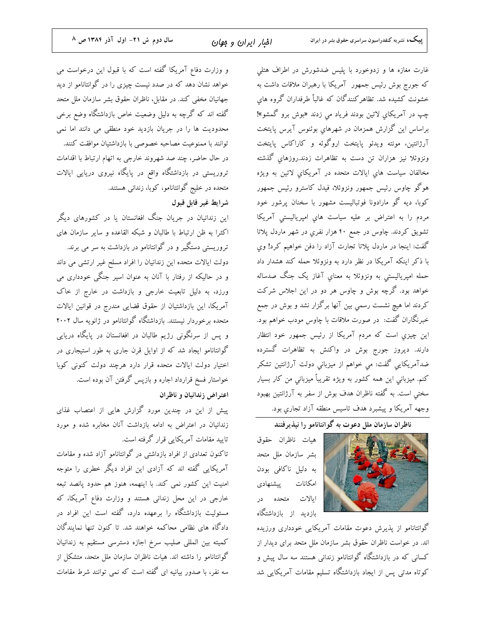**پییک،** نشریه کنفدراسیون سراسری حقوق بشر در ایران

غارت مغازه ها و زدوخورد با پلیس ضدشورش در اطراف هتلی که جورج بوش رئیس جمهور آمریکا با رهبران ملاقات داشت به .<br>خشونت کشیده شد. تظاهرکنندگان که غالباً طرفداران گروه هاي چپ در آمریکای لاتین بودند فریاد می زدند «بوش برو گمشو»! براساس این گزارش همزمان در شهرهای بوئنوس آیرس پایتخت آرژانتین، مونته ویدئو پایتخت اروگوئه و کاراکاس پایتخت ونزوئلا نیز هزاران تن دست به تظاهرات زدند.روزهای گذشته مخالفان سیاست های ایالات متحده در آمریکای لاتین به ویژه ہوگو چاوس رئیس جمهور ونزوئلا، فیدل کاسترو رئیس جمهور کوبا، دیه گو مارادونا فوتبالیست مشهور با سخنان پرشور خود مردم را به اعتراض بر علیه سیاست های امپریالیستی آمریکا تشویق کردند. چاوس در جمع ۴۰ هزار نفری در شهر ماردل پلاتا گفت: اینجا در ماردل پلاتا تجارت آزاد را دفن خواهیم کرد! وي با ذکر اینکه آمریکا در نظر دارد به ونزوئلا حمله کند هشدار داد حمله امپریالیستی به ونزوئلا به معنای آغاز یک جنگ صدساله خواهد بود. گرچه بوش و چاوس هر دو در این اجلاس شرکت کردند اما هیچ نشست رسمی بین آنها برگزار نشد و بوش در جمع خبرنگاران گفت: در صورت ملاقات با چاوس مودب خواهم بود. این چیزی است که مردم آمریکا از رئیس جمهور خود انتظار دارند. دیروز جورج بوش در واکنش به تظاهرات گسترده ضدآمریکایی گفت: می خواهم از میزبانی دولت آرژانتین تشکر کنم. ميزباني اين همه کشور به ويژه تقريباً ميزباني من کار بسيار سختی است. به گفته ناظران هدف بوش از سفر به آرژانتین بهبود وجهه آمريكا و پيشبرد هدف تاسيس منطقه آزاد تجاري بود.

.<br>ناظران سازمان ملل دعوت به گوانتانامو را نیذیرفتند



هيات ناظران حقوق بشر سازمان ملل متحد به دلیل ناکافی بودن امكانات ييشنهادي ایالات متحده <mark>در</mark> بازدید از بازداشتگاه

گوانتانامو از پذیرش دعوت مقامات آمریکایی خودداری ورزیده اند. در خواست ناظران حقوق بشر سازمان ملل متحد برای دیدار از کسانی که در بازداشتگاه گوانتانامو زندانی هستند سه سال پیش و کوتاه مدتی پس از ایجاد بازداشتگاه تسلیم مقامات آمریکایی شد

و وزارت دفاع آمریکا گفته است که با قبول این درخواست می خواهد نشان دهد که در صدد نیست چیزی را در گوانتانامو از دید جهانیان مخفی کند. در مقابل، ناظران حقوق بشر سازمان ملل متحد گفته اند که گرچه به دلیل وضعیت خاص بازداشتگاه وضع برخی محدودیت ها را در جریان بازدید خود منطقی می دانند اما نمی توانند با ممنوعیت مصاحبه خصوصی با بازداشتیان موافقت کنند. در حال حاضر، چند صد شهروند خارجی به اتهام ارتباط با اقدامات تروریستی در بازداشتگاه واقع در پایگاه نیروی دریایی ایالات متحده در خلیج گوانتانامو، کوبا، زندانی هستند.

شرايط غير قابل قبول

این زندانیان در جریان جنگ افغانستان یا در کشورهای دیگر اکثراً به ظن ارتباط با طالبان و شبکه القاعده و سایر سازمان های تروریستی دستگیر و در گوانتانامو در بازداشت به سر می برند. دولت ایالات متحده این زندانیان را افراد مسلح غیر ارتشی می داند و در حالیکه از رفتار با آنان به عنوان اسیر جنگی خودداری می ورزد، به دلیل تابعیت خارجی و بازداشت در خارج از خاک آمریکا، این بازداشتیان از حقوق قضایی مندرج در قوانین ایالات متحده برخوردار نیستند. بازداشتگاه گوانتانامو در ژانویه سال ۲۰۰۲ و پس از سرنگونی رژیم طالبان در افغانستان در پایگاه درپایی گوانتانامو ایجاد شد که از اوایل قرن جاری به طور استیجاری در اختیار دولت ایالات متحده قرار دارد هرچند دولت کنونی کوبا خواستار فسخ قرارداد اجاره و بازپس گرفتن آن بوده است. اعتراض زندانيان و ناظران

پیش از این در چندین مورد گزارش هایی از اعتصاب غذای زندانیان در اعتراض به ادامه بازداشت آنان مخابره شده و مورد تایید مقامات آمریکایی قرار گرفته است.

تاکنون تعدادی از افراد بازداشتی در گوانتانامو آزاد شده و مقامات ۔<br>آمریکایی گفته اند که آزادی این افراد دیگر خطری را متوجه امنیت این کشور نمی کند. با اینهمه، هنوز هم حدود یانصد تبعه خارجی در این محل زندانی هستند و وزارت دفاع آمریکا، که مسئولیت بازداشتگاه را برعهده دارد، گفته است این افراد در دادگاه های نظامی محاکمه خواهند شد. تا کنون تنها نمایندگان کمیته بین المللی صلیب سرخ اجازه دسترسی مستقیم به زندانیان گوانتانامو را داشته اند. هیات ناظران سازمان ملل متحد، متشکل از سه نفر، با صدور بیانیه ای گفته است که نمی توانند شرط مقامات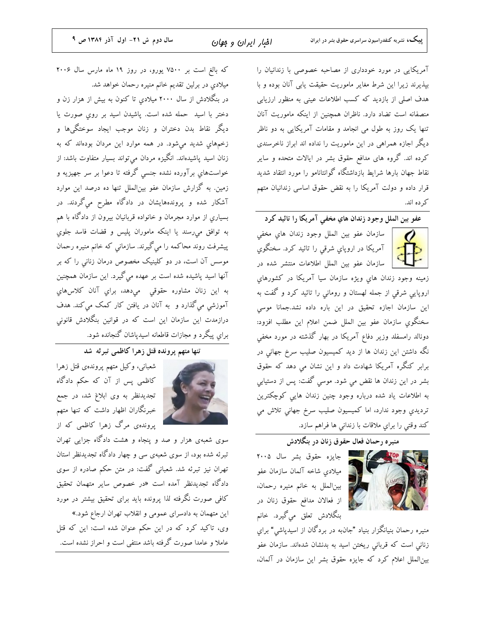آمریکایی در مورد خودداری از مصاحبه خصوصی با زندانیان را بپذیرند زیرا این شرط مغایر ماموریت حقیقت یابی آنان بوده و با هدف اصلی از بازدید که کسب اطلاعات عینی به منظور ارزیابی منصفانه است تضاد دارد. ناظران همچنین از اینکه ماموریت آنان تنها یک روز به طول می انجامد و مقامات آمریکایی به دو ناظر دیگر اجازه همراهی در این ماموریت را نداده اند ابراز ناخرسندی کرده اند. گروه های مدافع حقوق بشر در ایالات متحده و سایر نقاط جهان بارها شرايط بازداشتگاه گوانتانامو را مورد انتقاد شديد قرار داده و دولت آمریکا را به نقض حقوق اساسی زندانیان متهم كر ده اند.

عفو بين الملل وجود زندان هاي مخفى آمريكا را تائيد كرد



سازمان عفو بين الملل وجود زندان هاى مخفى آمریکا در اروپای شرقی را تائید کرد. سخنگوی | سازمان عفو بین الملل اطلاعات منتشر شده در

زمينه وجود زندان هاي ويژه سازمان سيا آمريكا در كشورهاى اروپایی شرقی از جمله لهستان و رومانی را تائید کرد و گفت به این سازمان اجازه تحقیق در این باره داده نشد.جمانا موسی سخنگوی سازمان عفو بین الملل ضمن اعلام این مطلب افزود: دونالد رامسفلد وزیر دفاع آمریکا در بهار گذشته در مورد مخفی نگه داشتن این زندان ها از دید کمیسیون صلیب سرخ جهانی در برابر کنگره آمریکا شهادت داد و این نشان مي دهد که حقوق بشر در این زندان ها نقض می شود. موسی گفت: پس از دستیابی به اطلاعات یاد شده درباره وجود چنین زندان هایی کوچکترین ترديدي وجود ندارد، اما كميسيون صليب سرخ جهاني تلاش مي كند وقتي را براي ملاقات با زنداني ها فراهم سازد.

منیره رحمان فعال حقوق زنان در بنگلادش

ما مع المسلم عليه المسلم مع المسلم ٢٠٠٥ . میلادی شاخه آلمان سازمان عفو بین|لملل به خانم منیره رحمان، از فعالان مدافع حقوق زنان در بنگلادش تعلق میگیرد. خانم

منیره رحمان بنیانگزار بنیاد "جانبه در بردگان از اسیدپاشی" برای زنانی است که قربانی ریختن اسید به بدنشان شدهاند. سازمان عفو بین الملل اعلام کرد که جایزه حقوق بشر این سازمان در آلمان،

که بالغ است بر ۷۵۰۰ یورو، در روز ۱۹ ماه مارس سال ۲۰۰۶ میلادی در برلین تقدیم خانم منیره رحمان خواهد شد. در بنگلادش از سال ۲۰۰۰ میلادی تا کنون به بیش از هزار زن و دختر با اسید حمله شده است. یاشیدن اسید بر روی صورت یا دیگر نقاط بدن دختران و زنان موجب ایجاد سوختگیها و زخمههای شدید می شود. در همه موارد این مردان بودهاند که به زنان اسید پاشیدهاند. انگیزه مردان میتواند بسیار متفاوت باشد: از خواستهای برآورده نشده جنسی گرفته تا دعوا بر سر جهیزیه و زمین. به گزارش سازمان عفو بین|لملل تنها ده درصد این موارد آشکار شده و پروندههایشان در دادگاه مطرح میگردند. در

بسیاریِ از موارد مجرمان و خانواده قربانیان بیرون از دادگاه با هم به توافق میرسند یا اینکه ماموران پلیس و قضات فاسد جلوی پیشرفت روند محاکمه را ميگيرند. سازماني که خانم منیره رحمان موسس آن است، در دو کلینیک مخصوص درمان زنانی را که بر آنها اسید پاشیده شده است بر عهده می گیرد. این سازمان همچنین به اين زنان مشاوره حقوقي ميدهد، براي آنان كلاس&اي آموزشی میگذارد و به آنان در یافتن کار کمک میکند. هدف درازمدت این سازمان این است که در قوانین بنگلادش قانونی براي پيگرد و مجازات قاطعانه اسيدپاشان گنجانده شود.

## .<br>تنها متهم پرونده قتل زهرا كاظمى تبرئه شد



شعبانی، وکیل متهم پروندهی قتل زهرا کاظمی پس از آن که حکم دادگاه تجدیدنظر به وی ابلاغ شد، در جمع خبرنگاران اظهار داشت که تنها متهم پروندهی مرگ زهرا کاظمی که از

سوی شعبهی هزار و صد و پنجاه و هشت دادگاه جزایی تهران تبرئه شده بود، از سوی شعبهی سی و چهار دادگاه تجدیدنظر استان تهران نیز تبرئه شد. شعبانی گفت: در متن حکم صادره از سوی دادگاه تجدیدنظر آمده است «در خصوص سایر متهمان تحقیق کافی صورت نگرفته لذا پرونده باید برای تحقیق بیشتر در مورد این متهمان به دادسرای عمومی و انقلاب تهران ارجاع شود.»

وی، تاکید کرد که در این حکم عنوان شده است: این که قتل عاملا و عامدا صورت گرفته باشد منتفی است و احراز نشده است.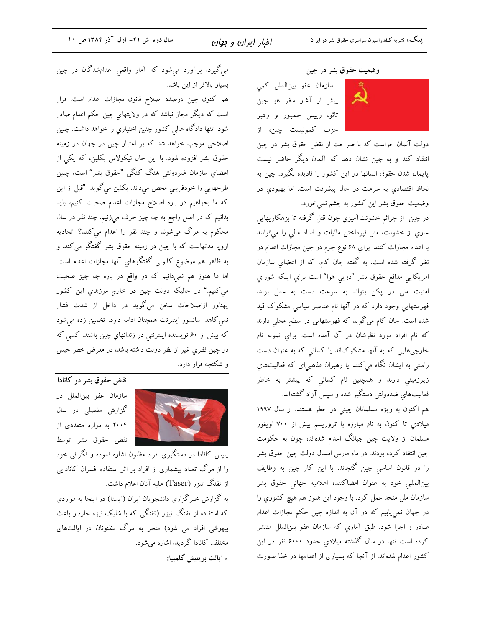می گیرد، برآورد میشود که آمار واقعی اعدامشدگان در چین بسیار بالاتر از این باشد.

هم اکنون چین درصدد اصلاح قانون مجازات اعدام است. قرار است که دیگر مجاز نباشد که در ولایتهای چین حکم اعدام صادر شود. تنها دادگاه عالی کشور چنین اختیاریِ را خواهد داشت. چنین اصلاحی موجب خواهد شد که بر اعتبار چین در جهان در زمینه حقوق بشر افزوده شود. با این حال نیکولاس بکلین، که یکی از اعضاي سازمان غيردولتي هنگ كنگي "حقوق بشر" است، چنين طرحهایی را خودفریبی محض میداند. بکلین میگوید: "قبل از این که ما بخواهیم در باره اصلاح مجازات اعدام صحبت کنیم، باید بدانیم که در اصل راجع به چه چیز حرف میزنیم. چند نفر در سال محکوم به مرگ میشوند و چند نفر را اعدام میکنند؟ اتحادیه اروپا مدتهاست که با چین در زمینه حقوق بشر گفتگو می کند. و به ظاهر هم موضوع كانوني گفتگوهاي آنها مجازات اعدام است. اما ما هنوز هم نمیدانیم که در واقع در باره چه چیز صحبت مي کنيم." در حاليکه دولت چين در خارج مرزهاي اين کشور پهناور ازاصلاحات سخن میگوید در داخل از شدت فشار نمي كاهد. سانسور اينترنت همچنان ادامه دارد. تخمين زده ميشود که بیش از ۶۰ نویسنده اینترنتی در زندانهایِ چین باشند. کسی که در چین نظری غیر از نظر دولت داشته باشد، در معرض خطر حبس و شکنجه قرار دارد.



نقض حقوق بشر در کانادا سازمان عفو بين الملل در گزارش مفصلی در سال ۲۰۰۴ به موارد متعددی از نقض حقوق بشر توسط

پلیس کانادا در دستگیری افراد مظنون اشاره نموده و نگرانی خود را از مرگ تعداد بیشماری از افراد بر اثر استفاده افسران کانادایی از تفنگ تیزر (Taser) علیه آنان اعلام داشت.

به گزارش خبرگزاری دانشجویان ایران (ایسنا) در اینجا به مواردی که استفاده از تفنگ تیزر (تفنگی که با شلیک نیزه خاردار باعث بیهوشی افراد می شود) منجر به مرگ مظنونان در ایالتهای مختلف کانادا گردید، اشاره میشود. × ایالت بریتیش کلمبیا:

#### وضعیت حقوق بشر در چین

سازمان عفو بين|لملل كمي پیش از آغاز سفر هو جین تائو، رییس جمهور و رهبر حزب كمونيست چين، از



دولت آلمان خواست که با صراحت از نقض حقوق بشر در چین انتقاد کند و به چین نشان دهد که آلمان دیگر حاضر نیست پایمال شدن حقوق انسانها در این کشور را نادیده بگیرد. چین به لحاظ اقتصادی به سرعت در حال پیشرفت است. اما بهبودی در وضعیت حقوق بشر این کشور به چشم نمیخورد.

در چین از جرائم خشونتآمیزیِ چون قتل گرفته تا بزهکاریهایی عاری از خشونت، مثل نپرداختن مالیات و فساد مالی را میتوانند با اعدام مجازات كنند. براي ۶۸ نوع جرم در چين مجازات اعدام در نظر گرفته شده است. به گفته جان کام، که از اعضای سازمان امريكايي مدافع حقوق بشر "دويي هوا" است براي اينكه شوراي امنیت ملی در پکن بتواند به سرعت دست به عمل بزند، فهرستهایی وجود دارد که در آنها نام عناصر سیاسی مشکوک قید شده است. جان کام میگوید که فهرستهایی در سطح محلی دارند که نام افراد مورد نظرشان در آن آمده است. براي نمونه نام خارجیهایی که به آنها مشکوکاند یا کسانی که به عنوان دست راستی به ایشان نگاه میکنند یا رهبران مذهبی|یِ که فعالیتهایِ زیرزمینی دارند و همچنین نام کسانی که پیشتر به خاطر فعالیتهای ضددولتی دستگیر شده و سپس آزاد گشتهاند.

هم اکنون به ویژه مسلمانان چینی در خطر هستند. از سال ۱۹۹۷ میلادي تا کنون به نام مبارزه با تروریسم بیش از ۷۰۰ اویغور مسلمان از ولایت چین جیانگ اعدام شدهاند، چون به حکومت چین انتقاد کرده بودند. در ماه مارس امسال دولت چین حقوق بشر را در قانون اساسی چین گنجاند. با این کار چین به وظایف بين|لمللي خود به عنوان امضاكننده اعلاميه جهاني حقوق بشر سازمان ملل متحد عمل كرد. با وجود اين هنوز هم هيچ كشوري را در جهان نمییابیم که در آن به اندازه چین حکم مجازات اعدام صادر و اجرا شود. طبق آماری که سازمان عفو بینالملل منتشر کرده است تنها در سال گذشته میلادی حدود ۶۰۰۰ نفر در این کشور اعدام شدهاند. از آنجا که بسیاری از اعدامها در خفا صورت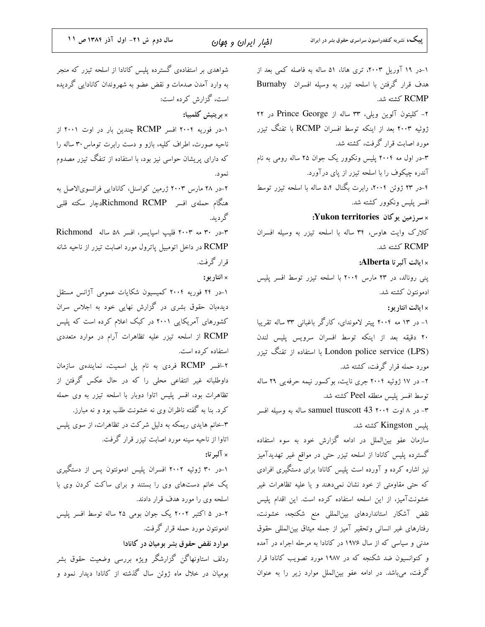| سال دوم ش ٢١- اول آذر ١٣٨٤ ص ١١                              | افبار ايران و جهان | پییک، نشریه کنفدراسیون سراسری حقوق بشر در ایران              |
|--------------------------------------------------------------|--------------------|--------------------------------------------------------------|
| شواهدی بر استفادهی گسترده پلیس کانادا از اسلحه تیزر که منجر  |                    | ۱–در ۱۹ آوریل ۲۰۰۳، تری هانا، ۵۱ ساله به فاصله کمی بعد از    |
| به وارد آمدن صدمات و نقض عضو به شهروندان کانادایی گردیده     |                    | هدف قرار گرفتن با اسلحه تیزر به وسیله افسران Burnaby         |
| است، گزارش کرده است:                                         |                    | RCMP كشته شد.                                                |
| × بر یتیش کلمبیا:                                            |                    | ۲- کلیتون آلوین ویلی، ۳۳ ساله از Prince George در ۲۲         |
| ۱–در فوریه ۲۰۰۴ افسر RCMP چندین بار در اوت ۲۰۰۱ از           |                    | ژوئیه ۲۰۰۳ بعد از اینکه توسط افسران RCMP با تفنگ تیزر        |
| ناحیه صورت، اطراف کلیه، بازو و دست رابرت توماس ۳۰ ساله را    |                    | مورد اصابت قرار گرفت، کشته شد.                               |
| که دارای پریشان حواسی نیز بود، با استفاده از تنفگ تیزر مصدوم |                    | ۳-در اول مه ۲۰۰۴ پلیس ونکوور یک جوان ۲۵ ساله رومی به نام     |
|                                                              | نمود.              | آندره چیکوف را با اسلحه تیزر از پای درآورد.                  |
| ۲-در ۲۸ مارس ۲۰۰۳ ژرمین کواسنل، کانادایی فرانسویالاصل به     |                    | ۴–در ۲۳ ژوئن ۲۰۰۴، رابرت بگنال ۵،۴ ساله با اسلحه تیزر توسط   |
| هنگام حملهی افسر  Richmond RCMPدچار سکته قلبی                |                    | افسر پلیس ونکوور کشته شد.                                    |
|                                                              | گرديد.             | ×سرزمین یوکان Yukon territories:                             |
| ۳-در ۳۰ مه ۲۰۰۳ فلیپ اسپایسر، افسر ۵۸ ساله Richmond          |                    | کلارک وایت هاوس، ۳۴ ساله با اسلحه تیزر به وسیله افسران       |
| RCMP در داخل اتومبیل پاترول مورد اصابت تیزر از ناحیه شانه    |                    | RCMP كشته شد.                                                |
| قرار گرفت.                                                   |                    | × ايالت آلبرتا Alberta:                                      |
|                                                              | × انتار يو:        | پنی رونالد، در ۲۳ مارس ۲۰۰۴ با اسلحه تیزر توسط افسر پلیس     |
| ۱–در ۲۴ فوریه ۲۰۰۴ کمیسیون شکایات عمومی آژانس مستقل          |                    | ادمونتون كشته شد.                                            |
| دیدهبان حقوق بشری در گزارش نهایی خود به اجلاس سران           |                    | × ايالت انتاريو:                                             |
| کشورهای آمریکایی ۲۰۰۱ در کبک اعلام کرده است که پلیس          |                    | ۱– در ۱۳ مه ۲۰۰۴ پیتر لاموندای، کارگر باغبانی ۳۳ ساله تقریبا |
| RCMP از اسلحه تیزر علیه تظاهرات آرام در موارد متعددی         |                    | ٢٠ دقيقه بعد از اينكه توسط افسران سرويس پليس لندن            |
| استفاده کرده است.                                            |                    | London police service (LPS) با استفاده از تفنگ تیزر          |
| ۲–افسر RCMP فردی به نام پل اسمیت، نمایندهی سازمان            |                    | مورد حمله قرار گرفت، کشته شد.                                |
| داوطلبانه غیر انتفاعی محلی را که در حال عکس گرفتن از         |                    | ۲- در ۱۷ ژوئیه ۲۰۰۴ جری نایت، بوکسور نیمه حرفهیی ۲۹ ساله     |
| تظاهرات بود، افسر پلیس اتاوا دوبار با اسلحه تیزر به وی حمله  |                    | توسط افسر پلیس منطقه Peel کشته شد.                           |
| کرد. بنا به گفته ناظران وی نه خشونت طلب بود و نه مبارز.      |                    | ۳- در ۸ اوت samuel ttuscott 43 ۲۰۰۴ ساله به وسیله افسر       |
| ۳–خانم هایدی ریمکه به دلیل شرکت در تظاهرات، از سوی پلیس      |                    | پلیس Kingston کشته شد.                                       |
| اتاوا از ناحیه سینه مورد اصابت تیزر قرار گرفت.               |                    | سازمان عفو بین لملل در ادامه گزارش خود به سوء استفاده        |
|                                                              | × آلبرتا:          | گسترده پلیس کانادا از اسلحه تیزر حتی در مواقع غیر تهدیدآمیز  |
| ۱–در ۳۰ ژوئیه ۲۰۰۲ افسران پلیس ادمونتون پس از دستگیری        |                    | نیز اشاره کرده و آورده است پلیس کانادا برای دستگیری افرادی   |
| یک خانم دستهای وی را بستند و برای ساکت کردن وی با            |                    | که حتی مقاومتی از خود نشان نمیدهند و یا علیه تظاهرات غیر     |
| اسلحه وی را مورد هدف قرار دادند.                             |                    | خشونتآمیز، از این اسلحه استفاده کرده است. این اقدام پلیس     |
| ۲-در ۵ اکتبر ۲۰۰۲ یک جوان بومی ۲۵ ساله توسط افسر پلیس        |                    | نقض آشکار استانداردهای بینالمللی منع شکنجه، خشونت،           |
| ادمونتون مورد حمله قرار گرفت.                                |                    | رفتارهای غیر انسانی وتحقیر آمیز از جمله میثاق بین لمللی حقوق |
| موارد نقض حقوق بشر بومیان در کانادا                          |                    | مدنی و سیاسی که از سال ۱۹۷۶ در کانادا به مرحله اجراء در آمده |
| ردلف استاونهاگن گزارشگر ویژه بررسی وضعیت حقوق بشر            |                    | و کنوانسیون ضد شکنجه که در ۱۹۸۷ مورد تصویب کانادا قرار       |
| بومیان در خلال ماه ژوئن سال گذشته از کانادا دیدار نمود و     |                    | گرفت، میباشد. در ادامه عفو بینالملل موارد زیر را به عنوان    |
|                                                              |                    |                                                              |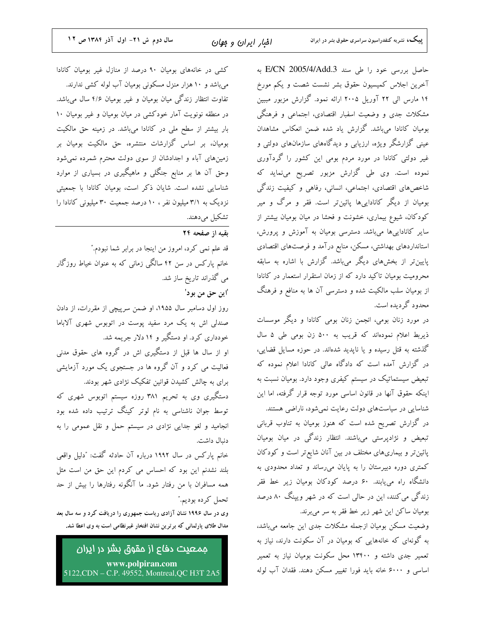حاصل بررسی خود را طی سند E/CN 2005/4/Add.3 به آخرین اجلاس کمیسیون حقوق بشر نشست شصت و یکم مورخ ۱۴ مارس الی ۲۲ آوریل ۲۰۰۵ ارائه نمود. گزارش مزبور مببین مشکلات جدی و وضعیت اسفبار اقتصادی، اجتماعی و فرهنگی بومیان کانادا میباشد. گزارش یاد شده ضمن انعکاس مشاهدان عینی گزارشگر ویژه، ارزیابی و دیدگاههای سازمانهای دولتی و غیر دولتی کانادا در مورد مردم بومی این کشور را گردآوری نموده است. وی طی گزارش مزبور تصریح مینماید که شاخصهای اقتصادی، اجتماعی، انسانی، رفاهی و کیفیت زندگی بومیان از دیگر کاناداییها پائینتر است. فقر و مرگ و میر کودکان، شیوع بیماری، خشونت و فحشا در میان بومیان بیشتر از سایر کاناداییها میباشد. دسترسی بومیان به آموزش و پرورش، استانداردهای بهداشتی، مسکن، منابع در آمد و فرصتهای اقتصادی پایین تر از بخشهای دیگر میباشد. گزارش با اشاره به سابقه محرومیت بومیان تاکید دارد که از زمان استقرار استعمار در کانادا از بومیان سلب مالکیت شده و دسترسی آن ها به منافع و فرهنگ محدود گردیده است.

در مورد زنان بومی، انجمن زنان بومی کانادا و دیگر موسسات ذیربط اعلام نمودهاند که قریب به ۵۰۰ زن بومی طی ۵ سال گذشته به قتل رسیده و یا ناپدید شدهاند. در حوزه مسایل قضایی، در گزارش آمده است که دادگاه عالی کانادا اعلام نموده که تبعیض سیستماتیک در سیستم کیفری وجود دارد. بومیان نسبت به اینکه حقوق آنها در قانون اساسی مورد توجه قرار گرفته، اما این شناسایی در سیاستهای دولت رعایت نمیشود، ناراضی هستند. در گزارش تصریح شده است که هنوز بومیان به تناوب قربانی تبعیض و نژادپرستی میباشند. انتظار زندگی در میان بومیان پائین تر و بیماریهای مختلف در بین آنان شایع تر است و کودکان کمتری دوره دبیرستان را به پایان میرساند و تعداد محدودی به دانشگاه راه می،یابند. ۶۰ درصد کودکان بومیان زیر خط فقر زندگی می کنند، این در حالی است که در شهر ویینگ ۸۰ درصد بومیان ساکن این شهر زیر خط فقر به سر میبرند.

وضعیت مسکن بومیان ازجمله مشکلات جدی این جامعه میباشد، به گونهای که خانههایی که بومیان در آن سکونت دارند، نیاز به تعمیر جدی داشته و ۱۳۴۰۰ محل سکونت بومیان نیاز به تعمیر اساسی و ۶۰۰۰ خانه باید فورا تغییر مسکن دهند. فقدان آب لوله

کشی در خانههای بومیان ۹۰ درصد از منازل غیر بومیان کانادا می باشد و ۱۰ هزار منزل مسکونی بومیان آب لوله کشی ندارند. تفاوت انتظار زندگی میان بومیان و غیر بومیان ۴/۶ سال میباشد. در منطقه نونویت آمار خودکشی در میان بومیان و غیر بومیان ۱۰ بار بیشتر از سطح ملی در کانادا میباشد. در زمینه حق مالکیت بومیان، بر اساس گزارشات منتشره، حق مالکیت بومیان بر زمینهای آباء و اجدادشان از سوی دولت محترم شمرده نمیشود وحق آن ها بر منابع جنگلی و ماهیگیری در بسیاری از موارد شناسایی نشده است. شایان ذکر است، بومیان کانادا با جمعیتی نزدیک به ۳/۱ میلیون نفر ، ۱۰ درصد جمعیت ۳۰ میلیونی کانادا را تشكيل مىدهند.

تقبه از صفحه ۲۴

قد علم نمی کرد، امروز من اینجا در برابر شما نبودم." خانم یارکس در سن ۴۲ سالگی زمانی که به عنوان خیاط روزگار می گذراند تاریخ ساز شد. اين حق من بو دا روز اول دسامبر سال ۱۹۵۵، او ضمن سرپیچی از مقررات، از دادن صندلی اش به یک مرد سفید پوست در اتوبوس شهری آلاباما .<br>خودداری کرد. او دستگیر و ۱۴ دلار جریمه شد. او از سال ها قبل از دستگیری اش در گروه های حقوق مدنی .<br>فعالیت می کرد و آن گروه ها در جستجوی یک مورد آزمایشی برای به چالش کشیدن قوانین تفکیک نژادی شهر بودند. دستگیری وی به تحریم ۳۸۱ روزه سیستم اتوبوس شهری که توسط جوان ناشناسی به نام لوتر کینگ ترتیب داده شده بود انجامید و لغو جدایی نژادی در سیستم حمل و نقل عمومی را به دنبال داشت. خانم پارکس در سال ۱۹۹۲ درباره آن حادثه گفت: "دلیل واقعی بلند نشدنم این بود که احساس می کردم این حق من است مثل همه مسافران با من رفتار شود. ما آنگونه رفتارها را بیش از حد تحمل كرده بوديم."

وی در سال ۱۹۹۶ نشان آزادی ریاست جمهوری را دریافت کرد و سه سال بعد مدال طلای پارلمانی که برترین نشان افتخار غیرنظامی است به وی اعطا شد.

جمعیت دف*ا*ع از مقوق بشر در ا<u>ی</u>ران www.polpiran.com 5122, CDN – C.P. 49552, Montreal, QC H3T 2A5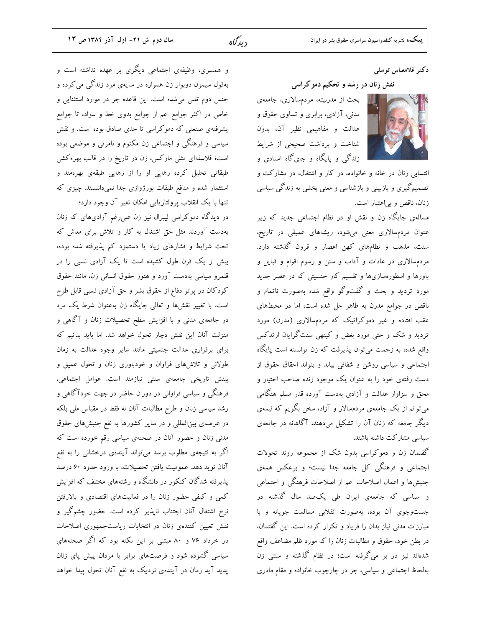## دكتر غلامعباس توسلمي

نقش زنان در رشد و تحکیم دموکراسی

بحث از مدرنیته، مردمسالاری، جامعهی مدنی، آزادی، برابری و تساوی حقوق و عدالت و مفاهیمی نظیر آن، بدون شناخت و برداشت صحیحی از شرایط زندگی و پایگاه و جایگاه اسنادی و



انتسابی زنان در خانه و خانواده، در کار و اشتغال، در مشارکت و تصمیمگیری و بازبینی و بازشناسی و معنی بخشی به زندگی سیاسی زنان، ناقص و بی|عتبار است.

مسالهی جایگاه زن و نقش او در نظام اجتماعی جدید که زیر عنوان مردمسالاری معنی میشود، ریشههای عمیقی در تاریخ، سنت، مذهب و نظامهای کهن اعصار و قرون گذشته دارد. مردمسالاری در عادات و آداب و سنن و رسوم اقوام و قبایل و باورها و اسطورهسازیها و تقسیم کار جنسیتی که در عصر جدید مورد تردید و بحث و گفتوگو واقع شده بهصورت ناتمام و ناقص در جوامع مدرن به ظاهر حل شده است، اما در محیطهای عقب افتاده و غیر دموکراتیک که مردمسالاری (مدرن) مورد تردید و شک و حتی مورد بغض و کینهی سنتگرایان ارتدکس واقع شده، به زحمت میتوان پذیرفت که زن توانسته است پایگاه اجتماعی و سیاسی روشن و شفافی بیابد و بتواند احقاق حقوق از دست رفتهی خود را به عنوان یک موجود زنده صاحب اختیار و محق و سزاوار عدالت و آزادی بهدست آورده قدر مسلم هنگامی میتوانم از یک جامعهی مردمسالار و آزاد، سخن بگویم که نیمهی دیگر جامعه که زنان آن را تشکیل میدهند، آگاهانه در جامعهی سیاسی مشارکت داشته باشند.

گفتمان زن و دموکراسی بدون شک از مجموعه روند تحولات اجتماعی و فرهنگی کل جامعه جدا نیست؛ و برعکس همهی جنبشها و اعمال اصلاحات اعم از اصلاحات فرهنگی و اجتماعی و سیاسی که جامعهی ایران طی یکصد سال گذشته در جستوجوی آن بوده، بهصورت انقلابی مسالمت جویانه و با مبارزات مدنی نیاز بدان را فریاد و تکرار کرده است. این گفتمان، در بطن خود، حقوق و مطالبات زنان را که مورد ظلم مضاعف واقع شدهاند نیز در بر میگرفته است؛ در نظام گذشته و سنتی زن بهلحاظ اجتماعی و سیاسی، جز در چارچوب خانواده و مقام مادری

و همسری، وظیفهی اجتماعی دیگری بر عهده نداشته است و بهقول سیمون دوبوار زن همواره در سایهی مرد زندگی می کرده و جنس دوم تقلی میشده است. این قاعده جز در موارد استثنایی و خاص در اکثر جوامع اعم از جوامع بدوی خط و سواد، تا جوامع پشرفتهی صنعتی که دموکراسی تا حدی صادق بوده است. و نقش سیاسی و فرهنگی و اجتماعی زن مکتوم و نامرئی و موضعی بوده است؛ فلاسفهای مثلی مارکس، زن در تاریخ را در قالب بهرهکشی طبقاتی تحلیل کرده رهایی او را از رهایی طبقهی بهرهمند و استثمار شده و منافع طبقات بورژوازی جدا نمیدانستند. چیزی که تنها با یک انقلاب پرولتاریایی امکان تغیر آن وجود دارد؛

در دیدگاه دموکراسی لیبرال نیز زن علی رغم آزادیهای که زنان بهدست آوردند مثل حق اشتغال به کار و تلاش برای معاش که تحت شرایط و فشارهای زیاد یا دستمزد کم پذیرفته شده بوده، بیش از یک قرن طول کشیده است تا یک آزادی نسبی را در قلمرو سیاسی بهدست آورد و هنوز حقوق انسانی زن، مانند حقوق کودکان در پرتو دفاع از حقوق بشر و حق آزادی نسبی قابل طرح است. با تغییر نقشها و تعالی جایگاه زن بهعنوان شرط یک مرد در جامعهى مدنى و با افزايش سطح تحصيلات زنان و آگاهى و منزلت آنان این نقش دچار تحول خواهد شد. اما باید بدانیم که برای برقراری عدالت جنسیتی مانند سایر وجوه عدالت به زمان طولانی و تلاش های فراوان و خودباوری زنان و تحول عمیق و بینش تاریخی جامعهی سنتی نیازمند است. عوامل اجتماعی، فرهنگی و سیاسی فراوانی در دوران حاضر در جهت خودآگاهی و رشد سیاسی زنان و طرح مطالبات آنان نه فقط در مقیاس ملی بلکه در عرصهی بین|لمللی و در سایر کشورها به نفع جنبشهای حقوق مدنی زنان و حضور آنان در صحنهی سیاسی رقم خورده است که اگر به نتیجهی مطلوب برسد میتواند آیندهی درخشانی را به نفع آنان نوید دهد. عمومیت یافتن تحصیلات، با ورود حدود ۶۰ درصد پذیرفته شدگان کنکور در دانشگاه و رشتههای مختلف که افزایش کمی و کیفی حضور زنان را در فعالیتهای اقتصادی و بالارفتن نرخ اشتغال آنان اجتناب ناپذیر کرده است. حضور چشمگیر و نقش تعیین کنندهی زنان در انتخابات ریاستجمهوری اصلاحات در خرداد ۷۶ و ۸۰ مبتنی بر این نکته بود که اگر صحنههای سیاسی گشوده شود و فرصتهای برابر با مردان پیش پای زنان پدید آید زمان در آیندهی نزدیک به نفع آنان تحول پیدا خواهد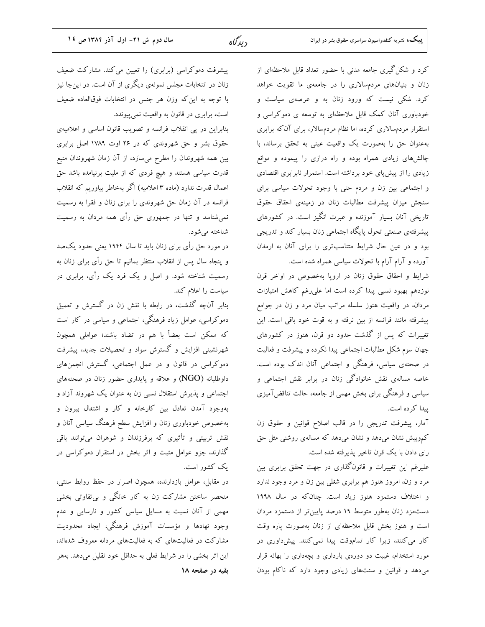کرد و شکل گیری جامعه مدنی با حضور تعداد قابل ملاحظهای از زنان و بنیانهای مردمسالاری را در جامعهی ما تقویت خواهد کرد. شکی نیست که ورود زنان به و عرصهی سیاست و خودباوری آنان کمک قابل ملاحظهای به توسعه ی دموکراسی و استقرار مردمسالاری کرده، اما نظام مردمسالار، برای آن که برابری بهعنوان حق را بهصورت یک واقعیت عینی به تحقق برساند، با چالشهای زیادی همراه بوده و راه درازی را پیموده و موانع زیادی را از پیش پای خود برداشته است. استمرار نابرابری اقتصادی و اجتماعی بین زن و مردم حتی با وجود تحولات سیاسی برای سنجش میزان پیشرفت مطالبات زنان در زمینهی احقاق حقوق تاریخی آنان بسیار آموزنده و عبرت انگیز است. در کشورهای پیشرفتهی صنعتی تحول پایگاه اجتماعی زنان بسیار کند و تدریجی بود و در عین حال شرایط متناسبتری را برای آنان به ارمغان آورده و آرام آرام با تحولات سیاسی همراه شده است.

شرايط و احقاق حقوق زنان در اروپا بهخصوص در اواخر قرن نوزدهم بهبود نسبى پيدا كرده است اما علىرغم كاهش امتيازات مردان، در واقعیت هنوز سلسله مراتب میان مرد و زن در جوامع پیشرفته مانند فرانسه از بین نرفته و به قوت خود باقی است. این تغییرات که پس از گذشت حدود دو قرن، هنوز در کشورهای جهان سوم شکل مطالبات اجتماعی پیدا نکرده و پیشرفت و فعالیت در صحنهی سیاسی، فرهنگی و اجتماعی آنان اندک بوده است. خاصه مسالهی نقش خانوادگی زنان در برابر نقش اجتماعی و سیاسی و فرهنگی برای بخش مهمی از جامعه، حالت تناقضآمیزی پیدا کرده است.

آمار، پیشرفت تدریجی را در قالب اصلاح قوانین و حقوق زن کموبیش نشان میدهد و نشان میدهد که مسالهی روشنی مثل حق رای دادن با یک قرن تاخیر پذیرفته شده است.

علیرغم این تغییرات و قانونگذاری در جهت تحقق برابری بین مرد و زن، امروز هنوز هم برابری شغلی بین زن و مرد وجود ندارد و اختلاف دستمزد هنوز زیاد است. چنان که در سال ۱۹۹۸ دستمزد زنان بهطور متوسط ١٩ درصد پایین تر از دستمزد مردان است و هنوز بخش قابل ملاحظهای از زنان بهصورت پاره وقت کار می کنند، زیرا کار تماموقت پیدا نمی کنند. پیش داوری در مورد استخدام، غیبت دو دورهی بارداری و بچهداری را بهانه قرار میدهد و قوانین و سنتهای زیادی وجود دارد که ناکام بودن

پیشرفت دموکراسی (برابری) را تعیین می کند. مشارکت ضعیف زنان در انتخابات مجلس نمونهی دیگری از آن است. در این جا نیز با توجه به این که وزن هر جنس در انتخابات فوقالعاده ضعیف است، برابري در قانون به واقعيت نمي پيوندد.

بنابراین در پی انقلاب فرانسه و تصویب قانون اساسی و اعلامیهی حقوق بشر و حق شهروندی که در ۲۶ اوت ۱۷۸۹ اصل برابری بین همه شهروندان را مطرح میسازد، از آن زمان شهروندان منبع قدرت سیاسی هستند و هیچ فردی که از ملیت برنیامده باشد حق اعمال قدرت ندارد (ماده ۳ اعلامیه) اگر بهخاطر بیاوریم که انقلاب فرانسه در آن زمان حق شهروندی را برای زنان و فقرا به رسمیت نمی شناسد و تنها در جمهوری حق رأی همه مردان به رسمیت شناخته می شود.

در مورد حق رأى براى زنان بايد تا سال ۱۹۴۴ يعنى حدود يكصد و پنجاه سال پس از انقلاب منتظر بمانیم تا حق رأی برای زنان به رسمیت شناخته شود. و اصل و یک فرد یک رأی، برابری در سیاست را اعلام کند.

بنابر آنچه گذشت، در رابطه با نقش زن در گسترش و تعمیق دموکراسی، عوامل زیاد فرهنگی، اجتماعی و سیاسی در کار است که ممکن است بعضاً با هم در تضاد باشند؛ عواملی همچون شهرنشینی افزایش و گسترش سواد و تحصیلات جدید، پیشرفت دموکراسی در قانون و در عمل اجتماعی، گسترش انجمنهای داوطلبانه (NGO) و علاقه و پایداری حضور زنان در صحنههای اجتماعی و پذیرش استقلال نسبی زن به عنوان یک شهروند آزاد و بهوجود آمدن تعادل بین کارخانه و کار و اشتغال بیرون و بهخصوص خودباوری زنان و افزایش سطح فرهنگ سیاسی آنان و نقش تربیتی و تأثیری که برفرزندان و شوهران میتوانند باقی گذارند، جزو عوامل مثبت و اثر بخش در استقرار دموکراسی در یک کشور است.

در مقابل، عوامل بازدارنده، همچون اصرار در حفظ روابط سنتی، منحصر ساختن مشارکت زن به کار خانگی و بی تفاوتی بخشی مهمی از آنان نسبت به مسایل سیاسی کشور و نارسایی و عدم وجود نهادها و مؤسسات آموزش فرهنگی، ایجاد محدودیت مشارکت در فعالیتهای که به فعالیتهای مردانه معروف شدهاند، این اثر بخشی را در شرایط فعلی به حداقل خود تقلیل میدهد. بههر بقيه در صفحه ١٨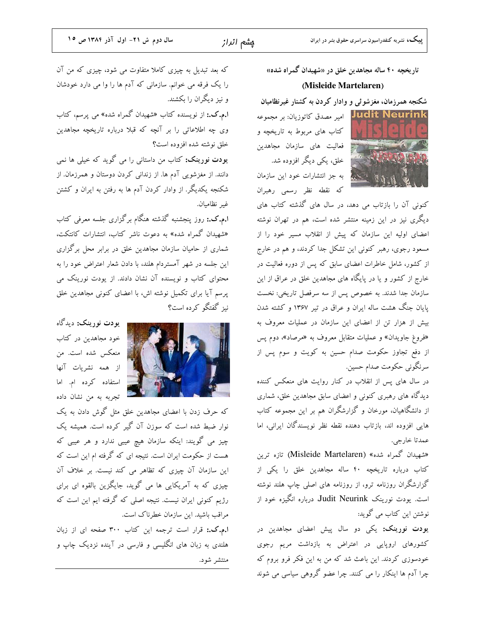1. 1. 1. 1. 1. 1. 1. 1.

تاریخچه ۴۰ ساله مجاهدین خلق در «شهیدان گمراه شده» (Misleide Martelaren)

شکنجه همرزمان، مغزشوئم و وادار کردن به کشتار غیرنظامیان

Judit Neurink امیر مصدق کاتوزیان: بر مجموعه کتاب های مربوط به تاریخچه و فعالیت های سازمان مجاهدین خلق، یکی دیگر افزوده شد. به جز انتشارات خود این سازمان كه نقطه نظر رسمي رهبران

کنونی آن را بازتاب می دهد، در سال های گذشته کتاب های دیگری نیز در این زمینه منتشر شده است، هم در تهران نوشته اعضای اولیه این سازمان که پیش از انقلاب مسیر خود را از مسعود رجوی، رهبر کنونی این تشکل جدا کردند، و هم در خارج از کشور، شامل خاطرات اعضای سابق که پس از دوره فعالیت در خارج از کشور و یا در پایگاه های مجاهدین خلق در عراق از این سازمان جدا شدند. به خصوص پس از سه سرفصل تاریخی: نخست پایان جنگ هشت ساله ایران و عراق در تیر ۱۳۶۷ و کشته شدن بیش از هزار تن از اعضای این سازمان در عملیات معروف به «فروغ جاویدان» و عملیات متقابل معروف به «مرصاد»، دوم پس از دفع تجاوز حکومت صدام حسین به کویت و سوم پس از سرنگونی حکومت صدام حسین.

در سال های پس از انقلاب در کنار روایت های منعکس کننده دیدگاه های رهبری کنونی و اعضای سابق مجاهدین خلق، شماری از دانشگاهیان، مورخان و گزارشگران هم بر این مجموعه کتاب هایی افزوده اند، بازتاب دهنده نقطه نظر نویسندگان ایرانی، اما عمدتا خارجي.

هشهیدان گمراه شده» (Misleide Martelaren) تازه ترین کتاب درباره تاریخچه ۴۰ ساله مجاهدین خلق را یکی از گزارشگران روزنامه ترو، از روزنامه های اصلی چاپ هلند نوشته است. یودت نورینک Judit Neurink درباره انگیزه خود از نوشتن این کتاب می گوید:

**یودت نورینک:** یکی دو سال پیش اعضای مجاهدین در کشورهای اروپایی در اعتراض به بازداشت مریم رجوی .<br>خودسوزی کردند. این باعث شد که من به این فکر فرو بروم که چرا آدم ها اینکار را می کنند. چرا عضو گروهی سیاسی می شوند

که بعد تبدیل به چیزی کاملا متفاوت می شود، چیزی که من آن را یک فرقه می خوانم. سازمانی که آدم ها را وا می دارد خودشان و نیز دیگران را بکشند. **ا.م.ک.:** از نویسنده کتاب «شهیدان گمراه شده» می پرسم، کتاب وی چه اطلاعاتی را بر آنچه که قبلا درباره تاریخچه مجاهدین خلق نوشته شده افزوده است؟

**یودت نورینک:** کتاب من داستانی را می گوید که خیلی ها نمی دانند. از مغزشویی آدم ها. از زندانی کردن دوستان و همرزمان. از شکنجه یکدیگر. از وادار کردن آدم ها به رفتن به ایران و کشتن غير نظاميان.

**ا.م.ک.:** روز پنجشنبه گذشته هنگام برگزاری جلسه معرفی کتاب «شهیدان گمراه شده» به دعوت ناشر کتاب، انتشارات کانتکت، شماری از حامیان سازمان مجاهدین خلق در برابر محل برگزاری این جلسه در شهر آمستردام هلند، با دادن شعار اعتراض خود را به محتوای کتاب و نویسنده آن نشان دادند. از یودت نورینک می پرسم آیا برای تکمیل نوشته اش، با اعضای کنونی مجاهدین خلق نیز گفتگو کرده است؟



**يودت نورينک:** ديدگاه خود مجاهدین در کتاب منعکس شده است. من از همه نشریات آنها استفاده کرده ام. اما تجربه به من نشان داده

که حرف زدن با اعضای مجاهدین خلق مثل گوش دادن به یک نوار ضبط شده است که سوزن آن گیر کرده است. همیشه یک چیز می گویند: اینکه سازمان هیچ عیبی ندارد و هر عیبی که هست از حکومت ایران است. نتیجه ای که گرفته ام این است که این سازمان آن چیزی که تظاهر می کند نیست. بر خلاف آن چیزی که به آمریکایی ها می گوید، جایگزین بالقوه ای برای رژیم کنونی ایران نیست. نتیجه اصلی که گرفته ایم این است که مراقب باشید. این سازمان خطرناک است.

ا.م.که: قرار است ترجمه این کتاب ۳۰۰ صفحه ای از زبان هلندی به زبان های انگلیسی و فارسی در آینده نزدیک چاپ و منتشر شود.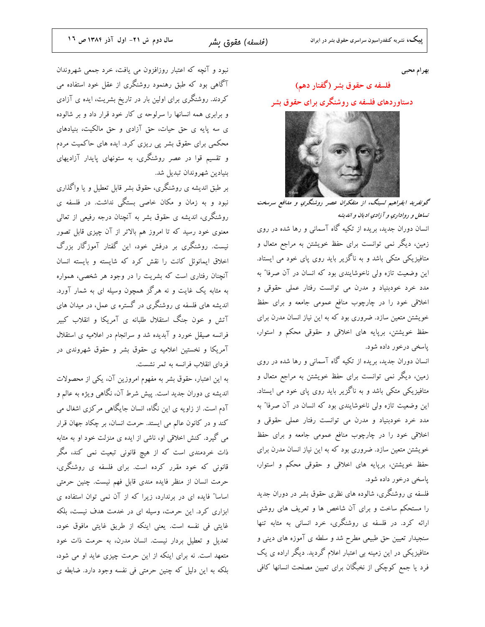بهرام محبى

# فلسفه ی حقوق بشر (گفتار دهم) دستاوردهای فلسفه ی روشنگری برای حقوق بشر



گوتفرید ایفراهیم لسینگ، از متفکران عصر روشنگری و مدافع سرسخت تساهل و رواداری و آ زادی ادیان و اندیشه

انسان دوران جدید، بریده از تکیه گاه آسمانی و رها شده در روی زمین، دیگر نمی توانست برای حفظ خویشتن به مراجع متعال و متافیزیکی متکی باشد و به ناگزیر باید روی پای خود می ایستاد. این وضعیت تازه ولی ناخوشایندی بود که انسان در آن صرفا″ به مدد خرد خودبنیاد و مدرن می توانست رفتار عملی حقوقی و اخلاقی خود را در چارچوب منافع عمومی جامعه و برای حفظ خویشتن متعین سازد. ضروری بود که به این نیاز انسان مدرن برای حفظ خویشتن، برپایه های اخلاقی و حقوقی محکم و استوار، پاسخی درخور داده شود.

انسان دوران جدید، بریده از تکیه گاه آسمانی و رها شده در روی زمین، دیگر نمی توانست برای حفظ خویشتن به مراجع متعال و متافیزیکی متکی باشد و به ناگزیر باید روی پای خود می ایستاد. این وضعیت تازه ولی ناخوشایندی بود که انسان در آن صرفا″ به مدد خرد خودبنیاد و مدرن می توانست رفتار عملی حقوقی و اخلاقی خود را در چارچوب منافع عمومی جامعه و برای حفظ خویشتن متعین سازد. ضروری بود که به این نیاز انسان مدرن برای حفظ خویشتن، برپایه های اخلاقی و حقوقی محکم و استوار، پاسخې درخور داده شود.

فلسفه ی روشنگری، شالوده های نظری حقوق بشر در دوران جدید را مستحکم ساخت و برای آن شاخص ها و تعریف های روشنی ارائه کرد. در فلسفه ی روشنگری، خرد انسانی به مثابه تنها سنجیدار تعیین حق طبیعی مطرح شد و سلطه ی آموزه های دینی و متافیزیکی در این زمینه بی اعتبار اعلام گردید. دیگر اراده ی یک فرد یا جمع کوچکی از نخبگان برای تعیین مصلحت انسانها کافی

نبود و آنچه که اعتبار روزافزون می یافت، خرد جمعی شهروندان آگاهی بود که طبق رهنمود روشنگری از عقل خود استفاده می کردند. روشنگری برای اولین بار در تاریخ بشریت، ایده ی آزادی و برابری همه انسانها را سرلوحه ی کار خود قرار داد و بر شالوده ی سه پایه ی حق حیات، حق آزادی و حق مالکیت، بنیادهای محکمی برای حقوق بشر پی ریزی کرد. ایده های حاکمیت مردم و تقسیم قوا در عصر روشنگری، به ستونهای پایدار آزادیهای بنيادين شهروندان تبديل شد.

بر طبق اندیشه ی روشنگری، حقوق بشر قابل تعطیل و یا واگذاری نبود و به زمان و مکان خاصی بستگی نداشت. در فلسفه ی روشنگری، اندیشه ی حقوق بشر به آنچنان درجه رفیعی از تعالی معنوی خود رسید که تا امروز هم بالاتر از آن چیزی قابل تصور نیست. روشنگری بر درفش خود، این گفتار آموزگار بزرگ اخلاق ایمانوئل کانت را نقش کرد که شایسته و بایسته انسان آنچنان رفتاری است که بشریت را در وجود هر شخصی، همواره به مثابه یک غایت و نه هرگز همچون وسیله ای به شمار آورد. اندیشه های فلسفه ی روشنگری در گستره ی عمل، در میدان های آتش و خون جنگ استقلال طلبانه ی آمریکا و انقلاب کبیر فرانسه صیقل خورد و آبدیده شد و سرانجام در اعلامیه ی استقلال آمریکا و نخستین اعلامیه ی حقوق بشر و حقوق شهروندی در فردای انقلاب فرانسه به ثمر نشست.

به این اعتبار، حقوق بشر به مفهوم امروزین آن، یکی از محصولات اندیشه ی دوران جدید است. پیش شرط آن، نگاهی ویژه به عالم و آدم است. از زاویه ی این نگاه، انسان جایگاهی مرکزی اشغال می کند و در کانون عالم می ایستد. حرمت انسان، بر چکاد جهان قرار می گیرد. کنش اخلاقی او، ناشی از ایده ی منزلت خود او به مثابه ذات خردمندی است که از هیچ قانونی تبعیت نمی کند، مگر قانونی که خود مقرر کرده است. برای فلسفه ی روشنگری، حرمت انسان از منظر فایده مندی قابل فهم نیست. چنین حرمتی اساسا" فایده ای در برندارد، زیرا که از آن نمی توان استفاده ی ابزاری کرد. این حرمت، وسیله ای در خدمت هدف نیست، بلکه غايتي في نفسه است. يعني اينكه از طريق غايتي مافوق خود، .<br>تعدیل و تعطیل بردار نیست. انسان مدرن، به حرمت ذات خود متعهد است. نه برای اینکه از این حرمت چیزی عاید او می شود، بلکه به این دلیل که چنین حرمتی فی نفسه وجود دارد. ضابطه ی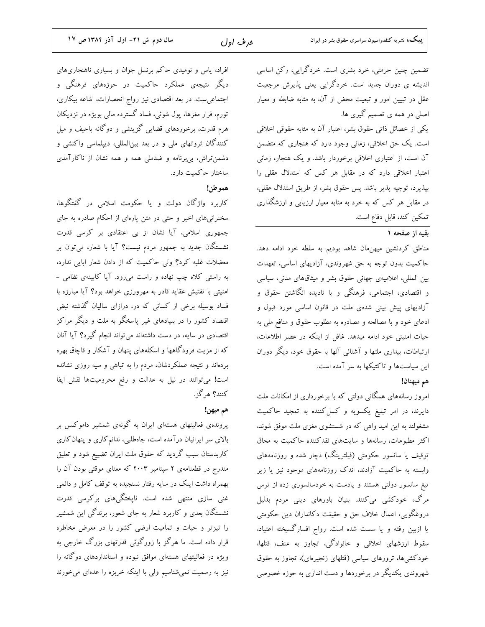تضمین چنین حرمتی، خرد بشری است. خردگرایی، رکن اساسی اندیشه ی دوران جدید است. خردگرایی یعنی پذیرش مرجعیت عقل در تبیین امور و تبعیت محض از آن، به مثابه ضابطه و معیار اصلی در همه ی تصمیم گیری ها.

یکی از خصائل ذاتی حقوق بشر، اعتبار آن به مثابه حقوقی اخلاقی است. یک حق اخلاقی، زمانی وجود دارد که هنجاری که متضمن آن است، از اعتباری اخلاقی برخوردار باشد. و یک هنجار، زمان<sub>ی</sub> اعتبار اخلاقی دارد که در مقابل هر کس که استدلال عقلی را بپذیرد، توجیه پذیر باشد. پس حقوق بشر، از طریق استدلال عقلی، در مقابل هر کس که به خرد به مثابه معیار ارزیابی و ارزشگذاری تمكين كند، قابل دفاع است.

## يقيه از صفحه ١

مناطق کردنشین میهن.مان شاهد بودیم به سلطه خود ادامه دهد. حاکمیت بدون توجه به حق شهروندی، آزادیهای اساسی، تعهدات بین المللی، اعلامیهی جهانی حقوق بشر و میثاقهای مدنی، سیاسی و اقتصادی، اجتماعی، فرهنگی و با نادیده انگاشتن حقوق و آزادیهای پیش بینی شدهی ملت در قانون اساسی مورد قبول و ادعای خود و با مصالحه و مصادره به مطلوب حقوق و منافع ملی به حیات امنیتی خود ادامه میدهد. غافل از اینکه در عصر اطلاعات، ارتباطات، بیداری ملتها و آشنائی آنها با حقوق خود، دیگر دوران این سیاستها و تاکتیکها به سر آمده است.

## هم ميهنان!

امروز رسانههای همگانی دولتی که با برخورداری از امکانات ملت دایرند، در امر تبلیغ یکسویه و کسل کننده به تمجید حاکمیت مشغولند به این امید واهی که در شستشوی مغزی ملت موفق شوند، اکثر مطبوعات، رسانهها و سایتهای نقدکننده حاکمیت به محاق توقیف یا سانسور حکومتی (فیلترینگ) دچار شده و روزنامههای وابسته به حاکمیت آزادند، اندک روزنامههای موجود نیز یا زیر تیغ سانسور دولتی هستند و یادست به خودسانسوری زده از ترس مرگ، خودکشی میکنند. بنیان باورهای دینی مردم بدلیل دروغگویی، اعمال خلاف حق و حقیقت دکانداران دین حکومتی یا ازبین رفته و یا سست شده است. رواج افسارگسیخته اعتیاد، سقوط ارزشهای اخلاقی و خانوادگی، تجاوز به عنف، قتلها، خودکشیها، ترورهای سیاسی (قتلهای زنجیرهای)، تجاوز به حقوق شهروندی یکدیگر در برخوردها و دست اندازی به حوزه خصوصی

افراد، یاس و نومیدی حاکم برنسل جوان و بسیاری ناهنجاریهای دیگر نتیجهی عملکرد حاکمیت در حوزههای فرهنگی و اجتماعی ست. در بعد اقتصادی نیز رواج انحصارات، اشاعه بیکاری، تورم، فرار مغزها، یول شوئی، فساد گسترده مالی بویژه در نزدیکان هرم قدرت، برخوردهای قضایی گزینشی و دوگانه باحیف و میل کنندگان ثروتهای ملی و در بعد بین|لمللی، دیپلماسی واکنشی و دشمن تراش، بی برنامه و ضدملی همه و همه نشان از ناکارآمدی ساختار حاكميت دارد.

#### هموطن!

کاربرد واژگان دولت و یا حکومت اسلامی در گفتگوها، سخنرانیهای اخیر و حتی در متن پارهای از احکام صادره به جای جمهوری اسلامی، آیا نشان از بی اعتقادی بر کرسی قدرت نشستگان جدید به جمهور مردم نیست؟ آیا با شعار، میتوان بر معضلات غلبه کرد؟ ولی حاکمیت که از دادن شعار ابایی ندارد، به راستی کلاه چپ نهاده و راست میرود. آیا کابینهی نظامی -امنیتی با تفتیش عقاید قادر به مهرورزی خواهد بود؟ آیا مبارزه با فساد بوسیله برخی از کسانی که در، درازای سالیان گذشته نبض اقتصاد کشور را در بنیادهای غیر پاسخگو به ملت و دیگر مراکز اقتصادی در سایه، در دست داشتهاند میتواند انجام گیرد؟ آیا آنان که از مزیت فرودگاهها و اسکلههای پنهان و آشکار و قاچاق بهره بردهاند و نتیجه عملکردشان، مردم را به تباهی و سیه روزی نشانده است! می توانند در نیل به عدالت و رفع محرومیتها نقش ایفا کنند؟ هرگز.

### هم ميهن!

پروندهی فعالیتهای هستهای ایران به گونهی شمشیر داموکلس بر بالای سر ایرانیان درآمده است، جاهطلبی، ندانم کاری و پنهان کاری کاربدستان سبب گردید که حقوق ملت ایران تضییع شود و تعلیق مندرج در قطعنامهی ۲ سپتامبر ۲۰۰۳ که معنای موقتی بودن آن را بهمراه داشت اینک در سایه رفتار نسنجیده به توقف کامل و دائمی غنی سازی منتهی شده است. ناپختگیهای برکرسی قدرت نشستگان بعدی و کاربرد شعار به جای شعور، برندگی این شمشیر را تیزتر و حیات و تمامیت ارضی کشور را در معرض مخاطره قرار داده است. ما هرگز با زورگوئی قدرتهای بزرگ خارجی به ویژه در فعالیتهای هستهای موافق نبوده و استانداردهای دوگانه را نیز به رسمیت نمیشناسیم ولی با اینکه خربزه را عدهای میخورند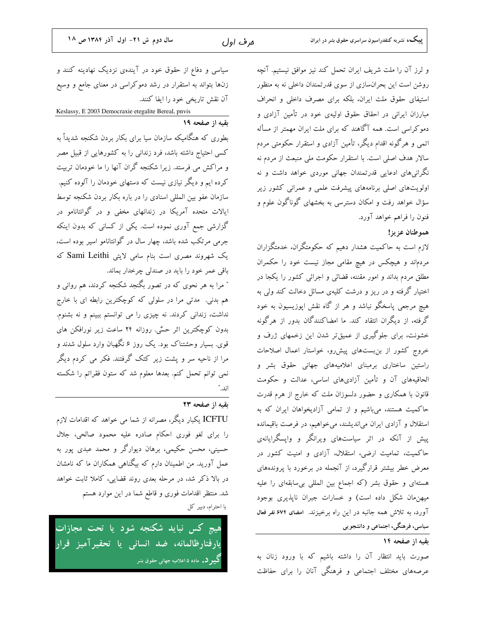و لرز آن را ملت شريف ايران تحمل كند نيز موافق نيستيم. آنچه روشن است این بحران سازی از سوی قدرتمندان داخلی نه به منظور استیفای حقوق ملت ایران، بلکه برای مصرف داخلی و انحراف مبارزان ایرانی در احقاق حقوق اولیهی خود در تأمین آزادی و نقبه از صفحه ١٩ دموکراسی است. همه آگاهند که برای ملت ایران مهمتر از مسأله اتمی و هرگونه اقدام دیگر، تأمین آزادی و استقرار حکومتی مردم سالار هدف اصلی است. با استقرار حکومت ملی منبعث از مردم نه .<br>نگرانیهای ادعایی قدرتمندان جهانی موردی خواهد داشت و نه

اولویتهای اصلی برنامههای پیشرفت علمی و عمرانی کشور زیر سؤال خواهد رفت و امکان دسترسی به بخشهای گوناگون علوم و فنون را فراهم خواهد آورد.

هموطنان عزيز!

لازم است به حاکمیت هشدار دهیم که حکومتگران، خدمتگزاران مردماند و هیچکس در هیچ مقامی مجاز نیست خود را حکمران مطلق مردم بداند و امور مقننه، قضائی و اجرائی کشور را یکجا در اختیار گرفته و در ریز و درشت کلیهی مسائل دخالت کند ولی به هیچ مرجعی پاسخگو نباشد و هر از گاه نقش اپوزیسیون به خود گرفته، از دیگران انتقاد کند. ما امضاکنندگان بدور از هرگونه خشونت، برای جلوگیری از عمیقتر شدن این زخمهای ژرف و خروج کشور از بن بستهای پیشررو، خواستار اعمال اصلاحات راستین ساختاری برمبنای اعلامیههای جهانی حقوق بشر و الحاقیههای آن و تأمین آزادیهای اساسی، عدالت و حکومت قانون با همکاری و حضور دلسوزان ملت که خارج از هرم قدرت حاکمیت هستند، میباشیم و از تمامی آزادیخواهان ایران که به استقلال و آزادی ایران می|ندیشند، میخواهیم، در فرصت باقیمانده پیش از آنکه در اثر سیاستهای ویرانگر و واپسگرایانهی حاکمیت، تمامیت ارضی، استقلال، آزادی و امنیت کشور در معرض خطر بیشتر قرارگیرد، از آنجمله در برخورد با پروندههای هستهای و حقوق بشر (که اجماع بین المللی بیسابقهای را علیه میهنِمان شکل داده است) و خسارات جبران ناپذیری بوجود آورد، به تلاش همه جانبه در این راه برخیزند. امضای ۶۷۴ نفر فعال سیاسی، فرهنگی، اجتماعی و دانشجو یی

بقيه از صفحه ١٤

صورت باید انتظار آن را داشته باشیم که با ورود زنان به عرصههای مختلف اجتماعی و فرهنگی آنان را برای حفاظت

سیاسی و دفاع از حقوق خود در آیندهی نزدیک نهادینه کنند و زنها بتواند به استقرار در رشد دموکراسی در معنای جامع و وسیع آن نقش تاریخی خود را ایفا کنند. Keslassy, E 2003 Democraxie etegalite Bereal, pnvis

بطوری که هنگامیکه سازمان سیا برای بکار بردن شکنجه شدیداً به کسی احتیاج داشته باشد، فرد زندانی را به کشورهایی از قبیل مصر و مراکش می فرستد. زیرا شکنجه گران آنها را ما خودمان تربیت کرده ایم و دیگر نیازی نیست که دستهای خودمان را آلوده کنیم. سازمان عفو بین المللی اسنادی را در باره بکار بردن شکنجه توسط ایالات متحده آمریکا در زندانهای مخفی و در گوانتانامو در گزارشی جمع آوری نموده است. یکی از کسانی که بدون اینکه جرمی مرتکب شده باشد، چهار سال در گوانتانامو اسیر بوده است، یک شهروند مصری است بنام سامی لایتی Sami Leithi که باقي عمر خود را بايد در صندلي چرخدار بماند. ″ مرا به هر نحوی که در تصور بگنجد شکنجه کردند، هم روانی و هم بدنی. مدتی مرا در سلولی که کوچکترین رابطه ای با خارج نداشت، زندانی کردند. نه چیزی را می توانستم ببینم و نه بشنوم. بدون کوچکترین اثر حسٌی. روزانه ۲۴ ساعت زیر نورافکن های

قوی. بسیار وحشتناک بود. یک روز ۶ نگهبان وارد سلول شدند و مرا از ناحیه سر و پشت زیر کتک گرفتند. فکر می کردم دیگر نمی توانم تحمل کنم. بعدها معلوم شد که ستون فقراتم را شکسته اند."

## بقيه از صفحه ٢٣

ICFTU یکبار دیگر، مصرانه از شما می خواهد که اقدامات لازم را برای لغو فوری احکام صادره علیه محمود صالحی، جلال حسینی، محسن حکیمی، برهان دیوارگر و محمد عبدی یور به عمل آورید. من اطمینان دارم که بیگناهی همکاران ما که نامشان در بالا ذکر شد، در مرحله بعدی روند قضایی، کاملا ثابت خواهد شد. منتظر اقدامات فوری و قاطع شما در این موارد هستم با احترام، دبیر کل

هیچ کس نباید شکنجه شود یا تحت مجازات يارفتارظالمانه، ضد انساني يا تحقيرآميز قرار **گیبر د.** ماده ۵ اعلامیه جهانی حقوق بشر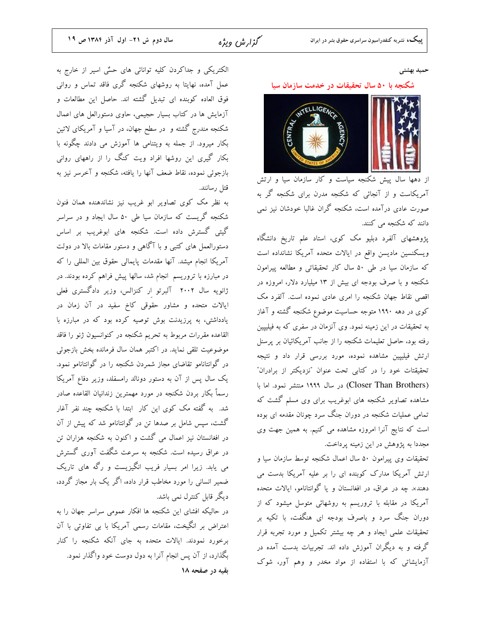گزارش ویژه

حميد بهشتى

#### شکنجه با ۵۰ سال تحقیقات در خدمت سازمان سیا



از دهها سال پیش شکنجه سیاست و کار سازمان سیا و ارتش آمریکاست و از آنجائی که شکنجه مدرن برای شکنجه گر به صورت عادی درآمده است، شکنجه گران غالبا خودشان نیز نمی دانند که شکنجه می کنند.

پژوهشهای آلفرد دبلیو مک کوی، استاد علم تاریخ دانشگاه ويسكنسين ماديسن واقع در ايالات متحده آمريكا نشانداده است که سازمان سیا در طی ۵۰ سال کار تحقیقاتی و مطالعه پیرامون شکنجه و با صرف بودجه ای بیش از ۱۳ میلیارد دلار، امروزه در اقصی نقاط جهان شکنجه را امری عادی نموده است. آلفرد مک کوی در دهه ۱۹۹۰ متوجه حساسیت موضوع شکنجه گشته و آغاز به تحقیقات در این زمینه نمود. وی آنزمان در سفری که به فیلیپین رفته بود، حاصل تعلیمات شکنجه را از جانب آمریکائیان بر پرسنل ارتش فیلیپین مشاهده نموده، مورد بررسی قرار داد و نتیجه تحقیقتات خود را در کتابی تحت عنوان "نزدیکتر از برادران" (Closer Than Brothers) در سال ۱۹۹۹ منتشر نمود. اما با مشاهده تصاویر شکنجه های ابوغریب برای وی مسلم گشت که تمامی عملیات شکنجه در دوران جنگ سرد چونان مقدمه ای بوده است که نتایج آنرا امروزه مشاهده می کنیم. به همین جهت وی مجدداً به پژوهش در این زمینه پرداخت.

تحقیقات وی پیرامون ۵۰ سال اعمال شکنجه توسط سازمان سیا و ارتش آمریکا مدارک کوبنده ای را بر علیه آمریکا بدست می دهند×. چه در عراق، در افغانستان و یا گوانتانامو، ایالات متحده آمریکا در مقابله با تروریسم به روشهائی متوسل میشود که از دوران جنگ سرد و باصرف بودجه ای هنگفت، با تکیه بر تحقیقات علمی ایجاد و هر چه بیشتر تکمیل و مورد تجربه قرار گرفته و به دیگران آموزش داده اند. تجربیات بدست آمده در آزمایشاتی که با استفاده از مواد مخدر و وهم آور، شوک

الکتریکی و جداکردن کلیه توانائی های حسٌی اسیر از خارج به عمل آمده، نهایتا به روشهای شکنجه گری فاقد تماس و روانی فوق العاده كوبنده اي تبديل گشته اند. حاصل اين مطالعات و آزمایش ها در کتاب بسیار حجیمی، حاوی دستورالعل های اعمال شکنجه مندرج گشته و در سطح جهان، در آسیا و آمریکای لاتین بکار میرود. از جمله به ویتنامی ها آموزش می دادند چگونه با بکار گیری این روشها افراد ویت کنگ را از راههای روانی بازجوئی نموده، نقاط ضعف آنها را یافته، شکنجه و آخرسر نیز به قتل رسانند.

به نظر مک کوی تصاویر ابو غریب نیز نشاندهنده همان فنون شکنجه گریست که سازمان سیا طی ۵۰ سال ایجاد و در سراسر گیتی گسترش داده است. شکنجه های ابوغریب بر اساس دستورالعمل های کتبی و با آگاهی و دستور مقامات بالا در دولت آمریکا انجام میشد. آنها مقدمات پایمالی حقوق بین المللی را که در مبارزه با تروریسم انجام شد، سالها پیش فراهم کرده بودند. در ژانویه سال ۲۰۰۲ آلبرتو ار کنزالس، وزیر دادگستری فعلی ایالات متحده و مشاور حقوقی کاخ سفید در آن زمان در یادداشتی، به پرزیدنت بوش توصیه کرده بود که در مبارزه با القاعده مقررات مربوط به تحریم شکنجه در کنوانسیون ژنو را فاقد موضوعیت تلقی نماید. در اکتبر همان سال فرمانده بخش بازجوئی در گوانتانامو تقاضای مجاز شمردن شکنجه را در گوانتانامو نمود. یک سال پس از آن به دستور دونالد رامسفلد، وزیر دفاع آمریکا رسماً بكار بردن شكنجه در مورد مهمترين زندانيان القاعده صادر شد. به گفته مک کوی این کار ابتدا با شکنجه چند نفر آغار گشت، سیس شامل بر صدها تن در گوانتانامو شد که پیش از آن در افغانستان نیز اعمال می گشت و اکنون به شکنجه هزاران تن در عراق رسیده است. شکنجه به سرعت شگفت آوری گسترش می یابد. زیرا امر بسیار فریب انگیزیست و رگه های تاریک ضمیر انسانی را مورد مخاطب قرار داده، اگر یک بار مجاز گردد، دیگر قابل کنترل نمی باشد.

در حالیکه افشای این شکنجه ها افکار عمومی سراسر جهان را به اعتراض بر انگیخت، مقامات رسمی آمریکا با بی تفاوتی با آن برخورد نمودند. ایالات متحده به جای آنکه شکنجه را کنار بگذارد، از آن پس انجام آنرا به دول دوست خود واگذار نمود. بقیه در صفحه ۱۸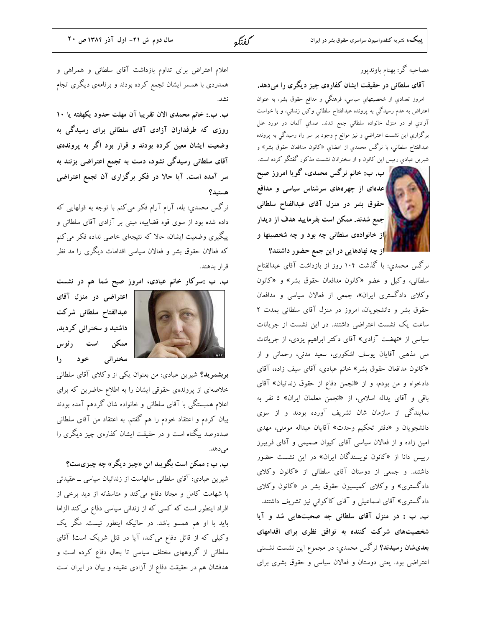## مصاحبه گر: بهنام باوندیور

آقای سلطانی در حقیقت ایشان کفارهی چیز دیگری را میدهد. امروز تعدادي از شخصيتهاي سياسي، فرهنگي و مدافع حقوق بشر، به عنوان اعتراض به عدم رسيدگي به پرونده عبدالفتاح سلطاني وکيل زنداني، و با خواست آزادي او در منزل خانواده سلطاني جمع شدند. صداي آلمان در مورد علل برگزاري اين نشست اعتراضي و نيز موانع م وجود بر سر راه رسيدگي به پرونده عبدالفتاح سلطاني، با نرگس محمدي از اعضاي «کانون مدافعان حقوق بشر» و شیرین عبادي رییس این کانون و از سخنرانان نشست مذکور گفتگو کرده است.

ب. ب: خانم نرگس محمدی، گویا امروز صبح **که عدهای از چهرههای سرشناس سیاسی و مدافع** <mark>.</mark> حقوق بشر در منزل آقای عبدالفتاح سلطانی <mark>ا</mark>جمع شدند. ممکن است بفرمایید هدف از دیدار <mark>ر</mark>از خانوادهی سلطانی چه بود و چه شخصیتها و از چه نهادهایی در این جمع حضور داشتند؟

نرگس محمدی: با گذشت ۱۰۴ روز از بازداشت آقای عبدالفتاح سلطانی، وکیل و عضو «کانون مدافعان حقوق بشر» و «کانون وکلای دادگستری ایران»، جمعی از فعالان سیاسی و مدافعان حقوق بشر و دانشجویان، امروز در منزل آقای سلطانی بمدت ۲ ساعت یک نشست اعتراضی داشتند. در این نشست از جریانات سیاسی از «نهضت آزادی» آقای دکتر ابراهیم یزدی، از جریانات ملی مذهبی آقایان یوسف اشکوری، سعید مدنی، رحمانی و از «کانون مدافعان حقوق بشر» خانم عبادی، آقای سیف زاده، آقای دادخواه و من بودم، و از «انجمن دفاع از حقوق زندانیان» آقای باقی و آقای یداله اسلامی، از «انجمن معلمان ایران» ۵ نفر به نمایندگی از سازمان شان تشریف آورده بودند و از سوی دانشجويان و «دفتر تحكيم وحدت» آقايان عبداله مومني، مهدي امین زاده و از فعالان سیاسی آقای کیوان صمیمی و آقای فریبرز رییس دانا از «کانون نویسندگان ایران» در این نشست حضور داشتند. و جمعی از دوستان آقای سلطانی از «کانون وکلای دادگستری» و وکلای کمیسیون حقوق بشر در «کانون وکلای دادگستری» آقای اسماعیلی و آقای کاکوانی نیز تشریف داشتند. ب. ب : در منزل آقای سلطانی چه صحبتهایی شد و آیا شخصیتهای شرکت کننده به توافق نظری برای اقدامهای **بعدیشان رسیدند؟** نرگس محمدی: در مجموع این نشست نشستی اعتراضی بود. یعنی دوستان و فعالان سیاسی و حقوق بشری برای

اعلام اعتراض برای تداوم بازداشت آقای سلطانی و همراهی و همدردی با همسر ایشان تجمع کرده بودند و برنامهی دیگری انجام

ب. ب.: خانم محمدى الان تقريبا آن مهلت حدود يكهفته يا ١٠ روزی که طرفداران آزادی آقای سلطانی برای رسیدگی به وضعیت ایشان معین کرده بودند و قرار بود اگر به پروندهی آقای سلطانی رسیدگی نشود، دست به تجمع اعتراضی بزنند به سر آمده است. آیا حالا در فکر برگزاری آن تجمع اعتراضی هستيد؟

نرگس محمدي: بله، آرام آرام فکر میکنم با توجه به قولهایی که داده شده بود از سوی قوه قضاییه، مبنی بر آزادی آقای سلطانی و پیگیری وضعیت ایشان، حالا که نتیجهای خاصی نداده فکر می کنم که فعالان حقوق بشر و فعالان سیاسی اقدامات دیگری را مد نظر قرار بدهند.

ب. ب :سرکار خانم عبادی، امروز صبح شما هم در نشست

اعتراضی در منزل آقای عبدالفتاح سلطانى شركت داشتید و سخنرانی کردید. ممکن است رئوس سخنراني خود را

بربشمرید؟ شیرین عبادی: من بعنوان یکی از وکلای آقای سلطانی خلاصهای از پروندهی حقوقی ایشان را به اطلاع حاضرین که برای اعلام همبستگی با آقای سلطانی و خانواده شان گردهم آمده بودند بیان کردم و اعتقاد خودم را هم گفتم. به اعتقاد من آقای سلطانی صددرصد بیگناه است و در حقیقت ایشان کفارهی چیز دیگری را مى دهد.

ب. ب : ممکن است بگویید این «چیز دیگر» چه چیزیست؟ شیرین عبادی: آقای سلطانی سالهاست از زندانیان سیاسی ــ عقیدتی با شهامت کامل و مجانا دفاع میکند و متاسفانه از دید برخی از افراد اینطور است که کسی که از زندانی سیاسی دفاع می کند الزاما باید با او هم همسو باشد. در حالیکه اینطور نیست. مگر یک وکیلی که از قاتل دفاع میکند، آیا در قتل شریک است! آقای سلطانی از گروههای مختلف سیاسی تا بحال دفاع کرده است و هدفشان هم در حقیقت دفاع از آزادی عقیده و بیان در ایران است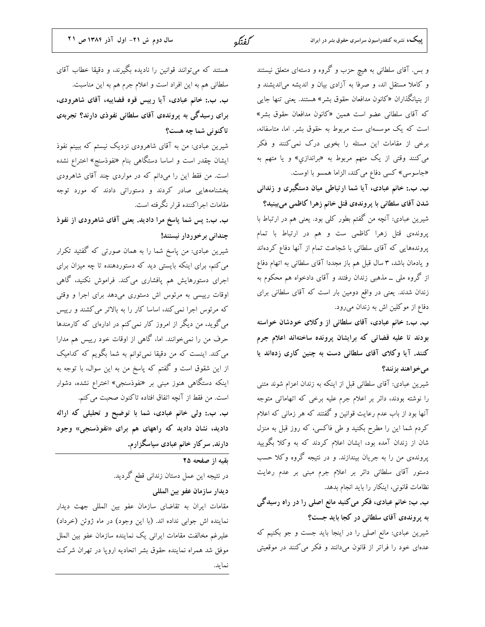| سال دوم ش ٢١- اول آذر ١٣٨٤ ص ٢١                               | كفتكو | پییک، نشریه کنفدراسیون سراسری حقوق بشر در ایران                 |
|---------------------------------------------------------------|-------|-----------------------------------------------------------------|
|                                                               |       |                                                                 |
| هستند که میتوانند قوانین را نادیده بگیرند، و دقیقا خطاب آقای  |       | و بس. آقای سلطانی به هیچ حزب و گروه و دستهای متعلق نیستند       |
| سلطانی هم به این افراد است و اعلام جرم هم به این مناسبت.      |       | و کاملا مستقل اند، و صرفا به آزادی بیان و اندیشه می ندیشند و    |
| ب. ب.: خانم عبادی، آیا رییس قوه قضاییه، آقای شاهرودی،         |       | از بنیانگذاران «کانون مدافعان حقوق بشر» هستند. یعنی تنها جایی   |
| برای رسیدگی به پروندهی آقای سلطانی نفوذی دارند؟ تجربهی        |       | که آقای سلطانی عضو است همین «کانون مدافعان حقوق بشر»            |
| تاکنونی شما چه هست؟                                           |       | است که یک موسسهای ست مربوط به حقوق بشر. اما، متاسفانه،          |
| شیرین عبادی: من به آقای شاهرودی نزدیک نیستم که ببینم نفوذ     |       | برخی از مقامات این مسئله را بخوبی درک نمی کنند و فکر            |
| ایشان چقدر است و اساسا دستگاهی بنام «نفوذسنج» اختراع نشده     |       | میکنند وقتی از یک متهم مربوط به «براندازي» و یا متهم به         |
| است. من فقط این را میدانم که در مواردی چند آقای شاهرودی       |       | «جاسوسی» کسی دفاع می کند، الزاما همسو با اوست.                  |
| بخشنامههایی صادر کردند و دستوراتی دادند که مورد توجه          |       | ب. ب.: خانم عبادی، آیا شما ارتباطی میان دستگیری و زندانی        |
| مقامات اجراکننده قرار نگرفته است.                             |       | شدن آقای سلطانی با پروندهی قتل خانم زهرا کاظمی میبینید؟         |
| ب. ب.: پس شما پاسخ مرا دادید. یعنی آقای شاهرودی از نفوذ       |       | شیرین عبادی: آنچه من گفتم بطور کلی بود. یعنی هم در ارتباط با    |
| چندانی برخوردار نیستند!                                       |       | پروندهی قتل زهرا کاظمی ست و هم در ارتباط با تمام                |
| شیرین عبادی: من پاسخ شما را به همان صورتی که گفتید تکرار      |       | پروندههایی که آقای سلطانی با شجاعت تمام از آنها دفاع کردهاند    |
| می کنم، برای اینکه بایستی دید که دستوردهنده تا چه میزان برای  |       | و یادمان باشد، ۳ سال قبل هم باز مجددا آقای سلطانی به اتهام دفاع |
| اجرای دستورهایش هم پافشاری میکند. فراموش نکنید، گاهی          |       | از گروه ملی ــ مذهبی زندان رفتند و آقای دادخواه هم محکوم به     |
| اوقات رییسی به مرئوس اش دستوری میدهد برای اجرا و وقتی         |       | زندان شدند. یعنی در واقع دومین بار است که آقای سلطانی برای      |
| که مرئوس اجرا نمی کند، اساسا کار را به بالاتر می کشند و رییس  |       | دفاع از موکلین اش به زندان میرود.                               |
| می گوید، من دیگر از امروز کار نمی کنم در ادارهای که کارمندها  |       | ب. ب.: خانم عبادی، آقای سلطانی از وکلای خودشان خواسته           |
| حرف من را نمیخوانند. اما، گاهی از اوقات خود رییس هم مدارا     |       | بودند تا علیه قضاتی که برایشان پرونده ساختهاند اعلام جرم        |
| می کند. اینست که من دقیقا نمیتوانم به شما بگویم که کدامیک     |       | کنند. آیا وکلای آقای سلطانی دست به چنین کاری زدهاند یا          |
| از این شقوق است و گفتم که پاسخ من به این سوال، با توجه به     |       | مىخواهند بزنند؟                                                 |
| اینکه دستگاهی هنوز مبنی بر «نفوذسنجی» اختراع نشده، دشوار      |       | شیرین عبادی: آقای سلطانی قبل از اینکه به زندان اعزام شوند متنی  |
| است. من فقط از آنچه اتفاق افتاده تاکنون صحبت می کنم.          |       | را نوشته بودند، دائر بر اعلام جرم علیه برخی که اتهاماتی متوجه   |
| ب. ب.: ولی خانم عبادی، شما با توضیح و تحلیلی که ارائه         |       | آنها بود از باب عدم رعایت قوانین و گفتند که هر زمانی که اعلام   |
| دادید، نشان دادید که راههای هم برای «نفوذسنجی» وجود           |       | کردم شما این را مطرح بکنید و طی فاکسی، که روز قبل به منزل       |
| دارند. سرکار خانم عبادی سپاسگزارم.                            |       | شان از زندان آمده بود، ایشان اعلام کردند که به وکلا بگویید      |
| بقیه از صفحه ۲۵                                               |       | پروندهی من را به جریان بیندازند. و در نتیجه گروه وکلا حسب       |
| در نتیجه این عمل دستان زندانی قطع گردید.                      |       | دستور آقای سلطانی دائر بر اعلام جرم مبنی بر عدم رعایت           |
| ديدار سازمان عفو بين المللي                                   |       | نظامات قانونی، اینکار را باید انجام بدهد.                       |
| مقامات ایران به تقاضای سازمان عفو بین المللی جهت دیدار        |       | ب. ب: خانم عبادی، فکر می کنید مانع اصلی را در راه رسیدگی        |
| نماینده اش جوابی نداده اند. (با این وجود) در ماه ژوئن (خرداد) |       | به پروندهى آقاى سلطانى در كجا بايد جست؟                         |
| علیرغم مخالفت مقامات ایرانی یک نماینده سازمان عفو بین الملل   |       | شیرین عبادی: مانع اصلی را در اینجا باید جست و جو بکنیم که       |
| موفق شد همراه نماینده حقوق بشر اتحادیه اروپا در تهران شرکت    |       | عدهای خود را فراتر از قانون میدانند و فکر می کنند در موقعیتی    |
| نمايد.                                                        |       |                                                                 |
|                                                               |       |                                                                 |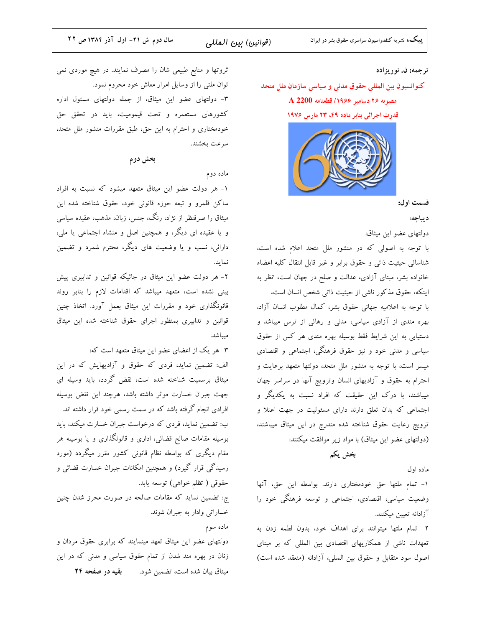پییک، نشریه کنفدراسیون سراسری حقوق بشر در ایران

### ترجمه: ن. نوريزاده

کنوانسیون بین المللی حقوق مدنی و سیاسی سازمان ملل متحد A 2200 مصوبه ٢۶ دسامبر ١٩۶۶/ قطعنامه قدرت اجرائی بنابر ماده ۴۹، ۲۳ مارس ۱۹۷۶



قسمت اول:

د پباچه:

دولتهاى عضو اين ميثاق:

با توجه به اصولی که در منشور ملل متحد اعلام شده است، شناسائی حیثیت ذاتی و حقوق برابر و غیر قابل انتقال کلیه اعضاء خانواده بشر، مبنای آزادی، عدالت و صلح در جهان است، نظر به اینکه، حقوق مذکور ناشی از حیثیت ذاتی شخص انسان است، با توجه به اعلامیه جهانی حقوق بشر، کمال مطلوب انسان آزاد، بهره مندی از آزادی سیاسی، مدنی و رهائی از ترس میباشد و دستیابی به این شرایط فقط بوسیله بهره مندی هر کس از حقوق سیاسی و مدنی خود و نیز حقوق فرهنگی، اجتماعی و اقتصادی میسر است، با توجه به منشور ملل متحد، دولتها متعهد برعایت و احترام به حقوق و آزادیهای انسان وترویج آنها در سراسر جهان میباشند، با درک این حقیقت که افراد نسبت به یکدیگر و اجتماعی که بدان تعلق دارند دارای مسئولیت در جهت اعتلا و ترويج رعايت حقوق شناخته شده مندرج در اين ميثاق ميباشند، (دولتهای عضو این میثاق) با مواد زیر موافقت میکنند:

بخش يكم

ماده اول

١- تمام ملتها حق خودمختاري دارند. بواسطه اين حق، آنها وضعیت سیاسی، اقتصادی، اجتماعی و توسعه فرهنگی خود را آزادانه تعيين ميكنند.

۲- تمام ملتها میتوانند برای اهداف خود، بدون لطمه زدن به تعهدات ناشی از همکاریهای اقتصادی بین المللی که بر مبنای اصول سود متقابل و حقوق بين المللي، آزادانه (منعقد شده است)

ثروتها و منابع طبیعی شان را مصرف نمایند. در هیچ موردی نمی توان ملتی را از وسایل امرار معاش خود محروم نمود. ۳- دولتهای عضو این میثاق، از جمله دولتهای مسئول اداره کشورهای مستعمره و تحت قیمومیت، باید در تحقق حق خودمختاری و احترام به این حق، طبق مقررات منشور ملل متحد، سرعت بخشند.

بخش دوم

### ماده دوم

۱- هر دولت عضو این میثاق متعهد میشود که نسبت به افراد ساکن قلمرو و تبعه حوزه قانونی خود، حقوق شناخته شده این میثاق را صرفنظر از نژاد، رنگ، جنس، زبان، مذهب، عقیده سیاسی و یا عقیده ای دیگر، و همچنین اصل و منشاء اجتماعی یا ملی، دارائی، نسب و یا وضعیت های دیگر، محترم شمرد و تضمین نمايد.

۲- هر دولت عضو این میثاق در جائیکه قوانین و تدابیری پیش بینی نشده است، متعهد میباشد که اقدامات لازم را بنابر روند قانونگذاری خود و مقررات این میثاق بعمل آورد. اتخاذ چنین قوانین و تدابیری بمنظور اجرای حقوق شناخته شده این میثاق ميباشد.

٣- هر يک از اعضاى عضو اين ميثاق متعهد است كه:

الف: تضمین نماید، فردی که حقوق و آزادیهایش که در این میثاق برسمیت شناخته شده است، نقض گردد، باید وسیله ای جهت جبران خسارت موثر داشته باشد، هرچند این نقض بوسیله افرادی انجام گرفته باشد که در سمت رسمی خود قرار داشته اند. ب: تضمین نماید، فردی که درخواست جبران خسارت میکند، باید بوسیله مقامات صالح قضائی، اداری و قانونگذاری و یا بوسیله هر مقام دیگری که بواسطه نظام قانونی کشور مقرر میگردد (مورد رسیدگی قرار گیرد) و همچنین امکانات جبران خسارت قضائی و حقوقی ( تظلم خواهی) توسعه یابد. ج: تضمین نماید که مقامات صالحه در صورت محرز شدن چنین

خساراتي وادار به جبران شوند.

ماده سوم

دولتهای عضو این میثاق تعهد مینمایند که برابری حقوق مردان و زنان در بهره مند شدن از تمام حقوق سیاسی و مدنی که در این میثاق بیان شده است، تضمین شود. و بقیه در صفحه ۲۴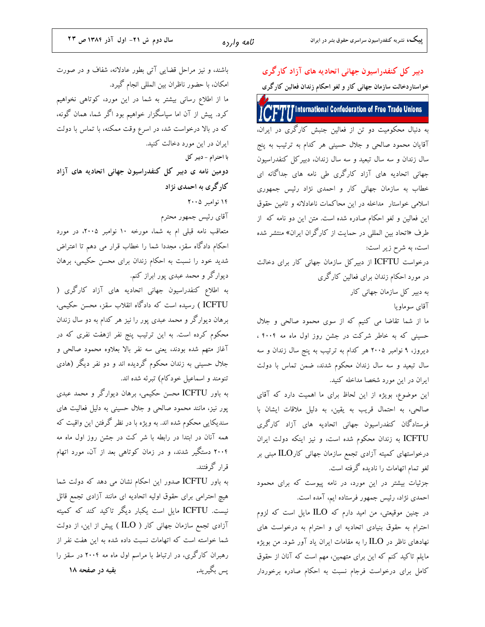دبیر کل کنفدراسیون جهانی اتحادیه های آزاد کارگری

باشند، و نیز مراحل قضایی آتی بطور عادلانه، شفاف و در صورت امکان، با حضور ناظران بین المللی انجام گیرد. ما از اطلاع رسانی بیشتر به شما در این مورد، کوتاهی نخواهیم کرد. پیش از آن اما سپاسگزار خواهیم بود اگر شما، همان گونه، که در بالا درخواست شد، در اسرع وقت ممکنه، با تماس با دولت ایران در این مورد دخالت کنید. با احترام - دبير كل دومین نامه ی دبیر کل کنفدراسیون جهانی اتحادیه های آزاد کار گری به احمدی نژاد ۱۴ نوامبر ۲۰۰۵ آقای رئیس جمهور محترم متعاقب نامه قبلی ام به شما، مورخه ۱۰ نوامبر ۲۰۰۵، در مورد احکام دادگاه سقز، مجددا شما را خطاب قرار می دهم تا اعتراض شدید خود را نسبت به احکام زندان برای محسن حکیمی، برهان دیوارگر و محمد عبدی پور ابراز کنم. به اطلاع کنفدراسیون جهانی اتحادیه های آزاد کارگری ( ICFTU ) رسیده است که دادگاه انقلاب سقز، محسن حکیمی، برهان دیوارگر و محمد عبدی پور را نیز هر کدام به دو سال زندان محکوم کرده است. به این ترتیب پنج نفر ازهفت نفری که در آغاز متهم شده بودند، یعنی سه نفر بالا بعلاوه محمود صالحی و جلال حسینی به زندان محکوم گردیده اند و دو نفر دیگر (هادی تنومند و اسماعیل خودکام) تبرئه شده اند. به باور ICFTU محسن حکیمی، برهان دیوارگر و محمد عبدی پور نیز، مانند محمود صالحی و جلال حسینی به دلیل فعالیت های سندیکایی محکوم شده اند. به ویژه با در نظر گرفتن این واقیت که همه آنان در ابتدا در رابطه با شر کت در جشن روز اول ماه مه ۲۰۰۴ دستگیر شدند، و در زمان کوتاهی بعد از آن، مورد اتهام قرار گرفتند. به باور ICFTU صدور این احکام نشان می دهد که دولت شما هیچ احترامی برای حقوق اولیه اتحادیه ای مانند آزادی تجمع قائل نیست. ICFTU مایل است یکبار دیگر تاکید کند که کمیته آزادی تجمع سازمان جهانی کار ( ILO ) پیش از این، از دولت شما خواسته است كه اتهامات نسبت داده شده به اين هفت نفر از رهبران کارگری، در ارتباط با مراسم اول ماه مه ۲۰۰۴ در سقز را بقیه در صفحه ۱۸ يس بگيريد.

خواستاردخالت سازمان جهانی کار و لغو احکام زندان فعالین کارگری **Tinternational Confederation of Free Trade Unions** به دنبال محکومیت دو تن از فعالین جنبش کارگری در ایران، آقایان محمود صالحی و جلال حسینی هر کدام به ترتیب به پنج سال زندان و سه سال تبعید و سه سال زندان، دبیرکل کنفدراسیون جهانی اتحادیه های آزاد کارگری طی نامه های جداگانه ای خطاب به سازمان جهانی کار و احمدی نژاد رئیس جمهوری اسلامی خواستار مداخله در این محاکمات ناعادلانه و تامین حقوق این فعالین و لغو احکام صادره شده است. متن این دو نامه که از طرف «اتحاد بین المللی در حمایت از کارگران ایران» منتشر شده است، به شرح زیر است: درخواست ICFTU از دبیر کل سازمان جهانی کار برای دخالت در مورد احکام زندان برای فعالین کارگری به دبیر کل سازمان جهانی کار آقای سوماویا ما از شما تقاضا می کنیم که از سوی محمود صالحی و جلال حسینی که به خاطر شرکت در جشن روز اول ماه مه ۴۰۰۴ ، دیروز، ۹ نوامبر ۲۰۰۵ هر کدام به ترتیب به پنج سال زندان و سه سال تبعید و سه سال زندان محکوم شدند، ضمن تماس با دولت ایران در این مورد شخصا مداخله کنید. این موضوع، بویژه از این لحاظ برای ما اهمیت دارد که آقای صالحی، به احتمال قریب به یقین، به دلیل ملاقات ایشان با فرستادگان کنفدراسیون جهانی اتحادیه های آزاد کارگری ICFTU به زندان محکوم شده است، و نیز اینکه دولت ایران درخواستهای کمیته آزادی تجمع سازمان جهانی کار $\operatorname{ILO}$  مبنی بر لغو تمام اتهامات را نادیده گرفته است. جزئیات بیشتر در این مورد، در نامه پیوست که برای محمود احمدی نژاد، رئیس جمهور فرستاده ایم، آمده است. در چنین موقیعتی، من امید دارم که ILO مایل است که لزوم

احترام به حقوق بنیادی اتحادیه ای و احترام به درخواست های نهادهای ناظر در  ${\rm ILO}$  را به مقامات ایران یاد آور شود. من بویژه مایلم تاکید کنم که این برای متهمین، مهم است که آنان از حقوق کامل برای درخواست فرجام نسبت به احکام صادره برخوردار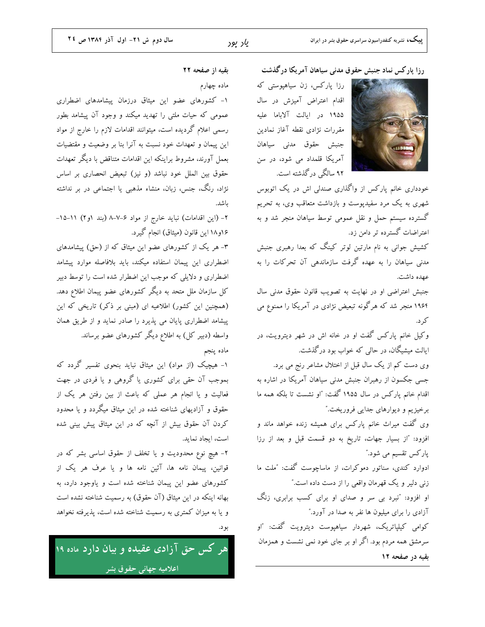رزا پارکس نماد جنبش حقوق مدنی سیاهان آمریکا درگذشت

رزا پارکس، زن سیاهپوستی که اقدام اعتراض آمیزش در سال ۱۹۵۵ در ایالت آلاباما علیه مقررات نژادى نقطه آغاز نمادين جنبش حقوق مدنى سياهان آمریکا قلمداد می شود، در سن ۹۲ سالگی درگذشته است.



خودداری خانم پارکس از واگذاری صندلی اش در یک اتوبوس شهری به یک مرد سفیدپوست و بازداشت متعاقب وی، به تحریم گسترده سیستم حمل و نقل عمومی توسط سیاهان منجر شد و به اعتراضات گسترده تر دامن زد.

کشیش جوانی به نام مارتین لوتر کینگ که بعدا رهبری جنبش مدنی سیاهان را به عهده گرفت سازماندهی آن تحرکات را به عهده داشت.

جنبش اعتراضی او در نهایت به تصویب قانون حقوق مدنی سال ۱۹۶۴ منجر شد که هرگونه تبعیض نژادی در آمریکا را ممنوع می کر د.

وکیل خانم پارکس گفت او در خانه اش در شهر دیترویت، در ایالت میشیگان، در حالی که خواب بود درگذشت.

وی دست کم از یک سال قبل از اختلال مشاعر رنج می برد. جسی جکسون از رهبران جنبش مدنی سیاهان آمریکا در اشاره به اقدام خانم پارکس در سال ۱۹۵۵ گفت: "او نشست تا بلکه همه ما برخیزیم و دیوارهای جدایی فروریخت.″

وی گفت میراث خانم پارکس برای همیشه زنده خواهد ماند و افزود: "از بسیار جهات، تاریخ به دو قسمت قبل و بعد از رزا پارکس تقسیم می شود.″

ادوارد کندی، سناتور دموکرات، از ماساچوست گفت: "ملت ما زنی دلیر و یک قهرمان واقعی را از دست داده است."

او افزود: "نبرد بی سر و صدای او برای کسب برابری، زنگ آزادی را برای میلیون ها نفر به صدا در آورد."

کوامی کیلیاتریک، شهردار سیاهیوست دیترویت گفت: "او سرمشق همه مردم بود. اگر او بر جای خود نمی نشست و همزمان بقیه در صفحه ۱۲

بقيه از صفحه ٢٢

ماده چهارم

۱- کشورهای عضو این میثاق درزمان پیشامدهای اضطراری عمومی که حیات ملتی را تهدید میکند و وجود آن پیشامد بطور رسمی اعلام گردیده است، میتوانند اقدامات لازم را خارج از مواد این پیمان و تعهدات خود نسبت به آنرا بنا بر وضعیت و مقتضیات بعمل آورند، مشروط براینکه این اقدامات متناقض با دیگر تعهدات حقوق بین الملل خود نباشد (و نیز) تبعیض انحصاری بر اساس نژاد، رنگ، جنس، زبان، منشاء مذهبی یا اجتماعی در بر نداشته باشد.

۲- (این اقدامات) نباید خارج از مواد ۶-۷-۸ (بند ۱و۲) ۱۱-۱۵-۱۶و۱۸ این قانون (میثاق) انجام گیرد.

۳- هر یک از کشورهای عضو این میثاق که از (حق) پیشامدهای اضطراری این پیمان استفاده میکند، باید بلافاصله موارد پیشامد اضطراری و دلایلی که موجب این اضطرار شده است را توسط دبیر کل سازمان ملل متحد به دیگر کشورهای عضو پیمان اطلاع دهد. (همچنین این کشور) اطلاعیه ای (مبنی بر ذکر) تاریخی که این پیشامد اضطراری پایان می پذیرد را صادر نماید و از طریق همان واسطه (دبیر کل) به اطلاع دیگر کشورهای عضو برساند.

ماده پنجم

۱- هیچیک (از مواد) این میثاق نباید بنحوی تفسیر گردد که بموجب آن حقی برای کشوری یا گروهی و یا فردی در جهت فعالیت و یا انجام هر عملی که باعث از بین رفتن هر یک از حقوق و آزادیهای شناخته شده در این میثاق میگردد و یا محدود کردن آن حقوق بیش از آنچه که در این میثاق پیش بینی شده است، ايجاد نمايد.

۲- هیچ نوع محدودیت و یا تخلف از حقوق اساسی بشر که در قوانین، پیمان نامه ها، آئین نامه ها و یا عرف هر یک از کشورهای عضو این پیمان شناخته شده است و یاوجود دارد، به بهانه اینکه در این میثاق (آن حقوق) به رسمیت شناخته نشده است و یا به میزان کمتری به رسمیت شناخته شده است، پذیرفته نخواهد ىو د.

هر کس حق آزادی عقیده و بیان دارد ماده ۱۹ اعلامیه جهانی حقوق بشر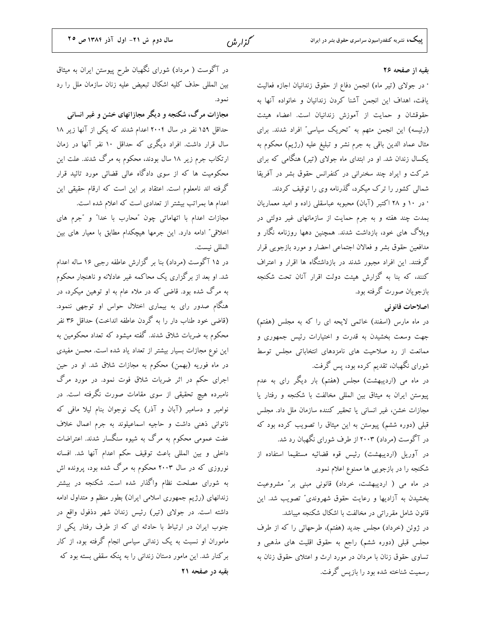بقيه از صفحه ٢۶

· در جولای (تیر ماه) انجمن دفاع از حقوق زندانیان اجازه فعالیت يافت، اهداف اين انجمن آشنا كردن زندانيان و خانواده آنها به حقوقشان و حمایت از آموزش زندانیان است. اعضاء هیئت (رئیسه) این انجمن متهم به "تحریک سیاسی" افراد شدند. برای مثال عماد الدين باقي به جرم نشر و تبليغ عليه (رژيم) محكوم به یکسال زندان شد. او در ابتدای ماه جولای (تیر) هنگامی که برای شرکت و ایراد چند سخنرانی در کنفرانس حقوق بشر در آفریقا شمالی کشور را ترک میکرد، گذرنامه وی را توقیف کردند.

· در ۱۰ و ۲۸ اکتبر (آبان) محبوبه عباسقلی زاده و امید معماریان بمدت چند هفته و به جرم حمایت از سازمانهای غیر دولتی در وبلاگ های خود، بازداشت شدند. همچنین دهها روزنامه نگار و مدافعين حقوق بشر و فعالان اجتماعي احضار و مورد بازجويي قرار گرفتند. این افراد مجبور شدند در بازداشتگاه ها اقرار و اعتراف کنند، که بنا به گزارش هیئت دولت اقرار آنان تحت شکنجه بازجویان صورت گرفته بود.

اصلاحات قانو ني

در ماه مارس (اسفند) خاتمی لایحه ای را که به مجلس (هفتم) جهت وسعت بخشیدن به قدرت و اختیارات رئیس جمهوری و ممانعت از رد صلاحیت های نامزدهای انتخاباتی مجلس توسط شورای نگهبان، تقدیم کرده بود، پس گرفت.

در ماه می (اردیبهشت) مجلس (هفتم) بار دیگر رای به عدم پیوستن ایران به میثاق بین المللی مخالفت با شکنجه و رفتار یا مجازات خشن، غیر انسانی یا تحقیر کننده سازمان ملل داد. مجلس قبلی (دوره ششم) پیوستن به این میثاق را تصویب کرده بود که در آگوست (مرداد) ۲۰۰۳ از طرف شورای نگهبان رد شد. در آوریل (اردیبهشت) رئیس قوه قضائیه مستقیما استفاده از

شکنجه را در بازجویی ها ممنوع اعلام نمود. در ماه می ( اردیبهشت، خرداد) قانونی مبنی بر" مشروعیت بخشیدن به آزادیها و رعایت حقوق شهروندی" تصویب شد. این قانون شامل مقرراتی در مخالفت با اشکال شکنجه میباشد.

در ژوئن (خرداد) مجلس جدید (هفتم)، طرحهائی را که از طرف مجلس قبلی (دوره ششم) راجع به حقوق اقلیت های مذهبی و تساوی حقوق زنان با مردان در مورد ارث و اعتلای حقوق زنان به رسمیت شناخته شده بود را بازپس گرفت.

در آگوست ( مرداد) شورای نگهبان طرح پیوستن ایران به میثاق بین المللی حذف کلیه اشکال تبعیض علیه زنان سازمان ملل را رد نمود.

مجازات مرگ، شکنجه و دیگر مجازاتهای خشن و غیر انسانی حداقل ۱۵۹ نفر در سال ۲۰۰۴ اعدام شدند که یکی از آنها زیر ۱۸ سال قرار داشت. افراد دیگری که حداقل ۱۰ نفر آنها در زمان ارتکاب جرم زیر ۱۸ سال بودند، محکوم به مرگ شدند. علت این محکومیت ها که از سوی دادگاه عالی قضائی مورد تائید قرار گرفته اند نامعلوم است. اعتقاد بر این است که ارقام حقیقی این اعدام ها بمراتب بیشتر از تعدادی است که اعلام شده است.

مجازات اعدام با اتهاماتی چون "محارب با خدا" و "جرم های اخلاقی" ادامه دارد. این جرمها هیچکدام مطابق با معیار های بین المللي نيست.

در ۱۵ آگوست (مرداد) بنا بر گزارش عاطفه رجبی ۱۶ ساله اعدام شد. او بعد از برگزاری یک محاکمه غیر عادلانه و ناهنجار محکوم به مرگ شده بود. قاضی که در ملاء عام به او توهین میکرد، در هنگام صدور رای به بیماری اختلال حواس او توجهی ننمود. (قاضی خود طناب دار را به گردن عاطفه انداخت) حداقل ۳۶ نفر محکوم به ضربات شلاق شدند. گفته میشود که تعداد محکومین به این نوع مجازات بسیار بیشتر از تعداد یاد شده است. محسن مفیدی در ماه فوریه (بهمن) محکوم به مجازات شلاق شد. او در حین اجرای حکم در اثر ضربات شلاق فوت نمود. در مورد مرگ نامبرده هیچ تحقیقی از سوی مقامات صورت نگرفته است. در نوامبر و دسامبر (آبان و آذر) یک نوجوان بنام لیلا مافی که ناتوانی ذهنی داشت و حاجیه اسماعیلوند به جرم اعمال خلاف عفت عمومی محکوم به مرگ به شیوه سنگسار شدند. اعتراضات داخلی و بین المللی باعث توقیف حکم اعدام آنها شد. افسانه نوروزی که در سال ۲۰۰۳ محکوم به مرگ شده بود، پرونده اش به شورای مصلحت نظام واگذار شده است. شکنجه در بیشتر زندانهای (رژیم جمهوری اسلامی ایران) بطور منظم و متداول ادامه داشته است. در جولای (تیر) رئیس زندان شهر دذفول واقع در جنوب ایران در ارتباط با حادثه ای که از طرف رفتار یکی از ماموران او نسبت به یک زندانی سیاسی انجام گرفته بود، از کار برکنار شد. این مامور دستان زندانی را به پنکه سقفی بسته بود که بقيه در صفحه ٢١